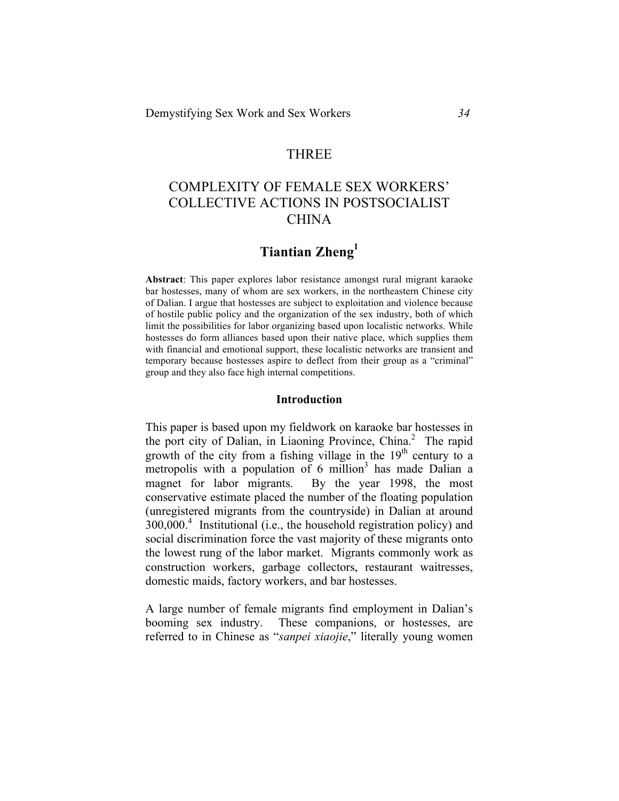# THREE

# COMPLEXITY OF FEMALE SEX WORKERS' COLLECTIVE ACTIONS IN POSTSOCIALIST **CHINA**

# **Tiantian Zheng1**

**Abstract**: This paper explores labor resistance amongst rural migrant karaoke bar hostesses, many of whom are sex workers, in the northeastern Chinese city of Dalian. I argue that hostesses are subject to exploitation and violence because of hostile public policy and the organization of the sex industry, both of which limit the possibilities for labor organizing based upon localistic networks. While hostesses do form alliances based upon their native place, which supplies them with financial and emotional support, these localistic networks are transient and temporary because hostesses aspire to deflect from their group as a "criminal" group and they also face high internal competitions.

#### **Introduction**

This paper is based upon my fieldwork on karaoke bar hostesses in the port city of Dalian, in Liaoning Province, China. 2 The rapid growth of the city from a fishing village in the  $19<sup>th</sup>$  century to a metropolis with a population of 6 million<sup>3</sup> has made Dalian a magnet for labor migrants. By the year 1998, the most conservative estimate placed the number of the floating population (unregistered migrants from the countryside) in Dalian at around  $300,000$ <sup>4</sup> Institutional (i.e., the household registration policy) and social discrimination force the vast majority of these migrants onto the lowest rung of the labor market. Migrants commonly work as construction workers, garbage collectors, restaurant waitresses, domestic maids, factory workers, and bar hostesses.

A large number of female migrants find employment in Dalian's booming sex industry. These companions, or hostesses, are referred to in Chinese as "*sanpei xiaojie*," literally young women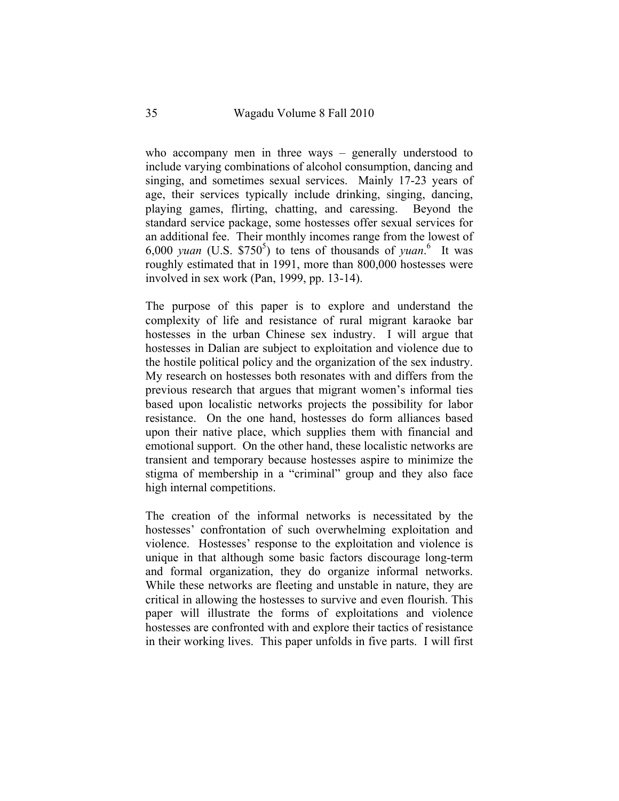who accompany men in three ways – generally understood to include varying combinations of alcohol consumption, dancing and singing, and sometimes sexual services. Mainly 17-23 years of age, their services typically include drinking, singing, dancing, playing games, flirting, chatting, and caressing. Beyond the standard service package, some hostesses offer sexual services for an additional fee. Their monthly incomes range from the lowest of  $6,000$  *yuan* (U.S. \$750<sup>5</sup>) to tens of thousands of *yuan*.<sup>6</sup> It was roughly estimated that in 1991, more than 800,000 hostesses were involved in sex work (Pan, 1999, pp. 13-14).

The purpose of this paper is to explore and understand the complexity of life and resistance of rural migrant karaoke bar hostesses in the urban Chinese sex industry. I will argue that hostesses in Dalian are subject to exploitation and violence due to the hostile political policy and the organization of the sex industry. My research on hostesses both resonates with and differs from the previous research that argues that migrant women's informal ties based upon localistic networks projects the possibility for labor resistance. On the one hand, hostesses do form alliances based upon their native place, which supplies them with financial and emotional support. On the other hand, these localistic networks are transient and temporary because hostesses aspire to minimize the stigma of membership in a "criminal" group and they also face high internal competitions.

The creation of the informal networks is necessitated by the hostesses' confrontation of such overwhelming exploitation and violence. Hostesses' response to the exploitation and violence is unique in that although some basic factors discourage long-term and formal organization, they do organize informal networks. While these networks are fleeting and unstable in nature, they are critical in allowing the hostesses to survive and even flourish. This paper will illustrate the forms of exploitations and violence hostesses are confronted with and explore their tactics of resistance in their working lives. This paper unfolds in five parts. I will first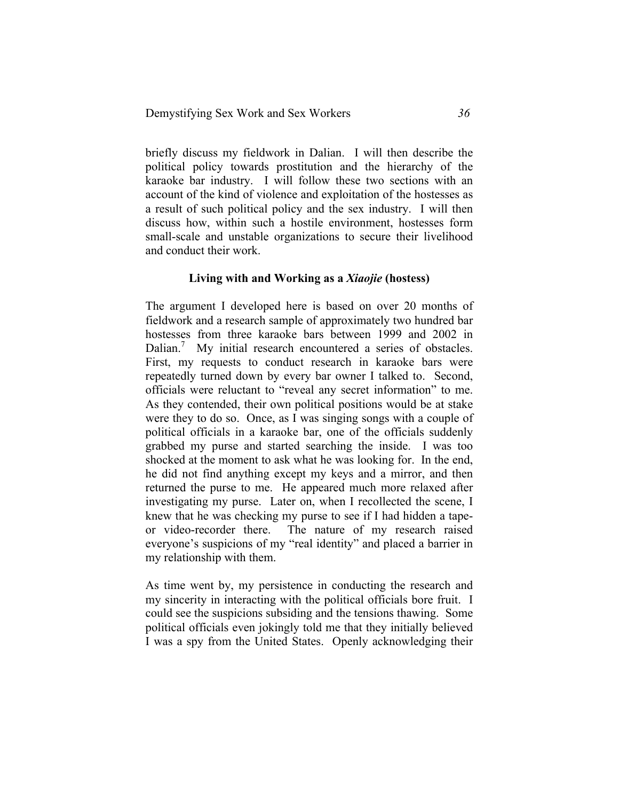briefly discuss my fieldwork in Dalian. I will then describe the political policy towards prostitution and the hierarchy of the karaoke bar industry. I will follow these two sections with an account of the kind of violence and exploitation of the hostesses as a result of such political policy and the sex industry. I will then discuss how, within such a hostile environment, hostesses form small-scale and unstable organizations to secure their livelihood and conduct their work.

## **Living with and Working as a** *Xiaojie* **(hostess)**

The argument I developed here is based on over 20 months of fieldwork and a research sample of approximately two hundred bar hostesses from three karaoke bars between 1999 and 2002 in Dalian.<sup>7</sup> My initial research encountered a series of obstacles. First, my requests to conduct research in karaoke bars were repeatedly turned down by every bar owner I talked to. Second, officials were reluctant to "reveal any secret information" to me. As they contended, their own political positions would be at stake were they to do so. Once, as I was singing songs with a couple of political officials in a karaoke bar, one of the officials suddenly grabbed my purse and started searching the inside. I was too shocked at the moment to ask what he was looking for. In the end, he did not find anything except my keys and a mirror, and then returned the purse to me. He appeared much more relaxed after investigating my purse. Later on, when I recollected the scene, I knew that he was checking my purse to see if I had hidden a tapeor video-recorder there. The nature of my research raised everyone's suspicions of my "real identity" and placed a barrier in my relationship with them.

As time went by, my persistence in conducting the research and my sincerity in interacting with the political officials bore fruit. I could see the suspicions subsiding and the tensions thawing. Some political officials even jokingly told me that they initially believed I was a spy from the United States. Openly acknowledging their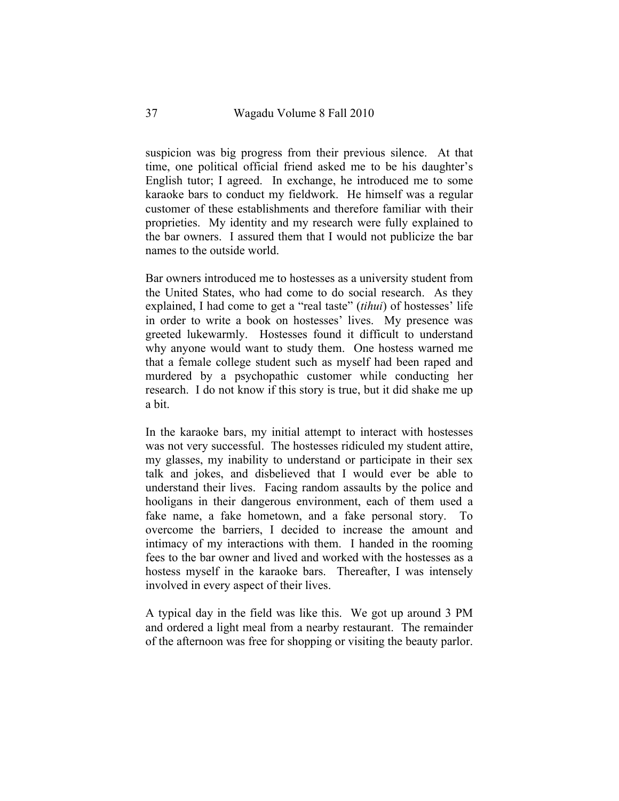suspicion was big progress from their previous silence. At that time, one political official friend asked me to be his daughter's English tutor; I agreed. In exchange, he introduced me to some karaoke bars to conduct my fieldwork. He himself was a regular customer of these establishments and therefore familiar with their proprieties. My identity and my research were fully explained to the bar owners. I assured them that I would not publicize the bar names to the outside world.

Bar owners introduced me to hostesses as a university student from the United States, who had come to do social research. As they explained, I had come to get a "real taste" (*tihui*) of hostesses' life in order to write a book on hostesses' lives. My presence was greeted lukewarmly. Hostesses found it difficult to understand why anyone would want to study them. One hostess warned me that a female college student such as myself had been raped and murdered by a psychopathic customer while conducting her research. I do not know if this story is true, but it did shake me up a bit.

In the karaoke bars, my initial attempt to interact with hostesses was not very successful. The hostesses ridiculed my student attire, my glasses, my inability to understand or participate in their sex talk and jokes, and disbelieved that I would ever be able to understand their lives. Facing random assaults by the police and hooligans in their dangerous environment, each of them used a fake name, a fake hometown, and a fake personal story. overcome the barriers, I decided to increase the amount and intimacy of my interactions with them. I handed in the rooming fees to the bar owner and lived and worked with the hostesses as a hostess myself in the karaoke bars. Thereafter, I was intensely involved in every aspect of their lives.

A typical day in the field was like this. We got up around 3 PM and ordered a light meal from a nearby restaurant. The remainder of the afternoon was free for shopping or visiting the beauty parlor.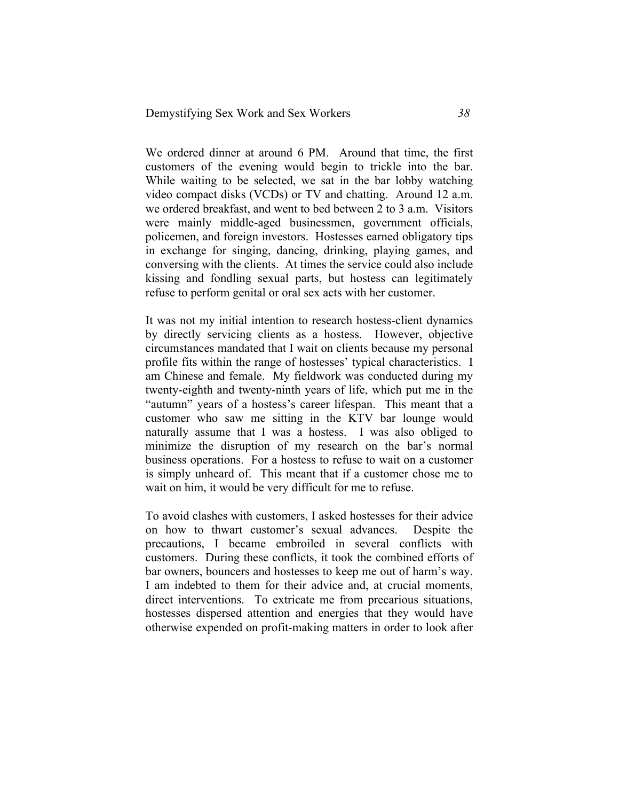We ordered dinner at around 6 PM. Around that time, the first customers of the evening would begin to trickle into the bar. While waiting to be selected, we sat in the bar lobby watching video compact disks (VCDs) or TV and chatting. Around 12 a.m. we ordered breakfast, and went to bed between 2 to 3 a.m. Visitors were mainly middle-aged businessmen, government officials, policemen, and foreign investors. Hostesses earned obligatory tips in exchange for singing, dancing, drinking, playing games, and conversing with the clients. At times the service could also include kissing and fondling sexual parts, but hostess can legitimately refuse to perform genital or oral sex acts with her customer.

It was not my initial intention to research hostess-client dynamics by directly servicing clients as a hostess. However, objective circumstances mandated that I wait on clients because my personal profile fits within the range of hostesses' typical characteristics. I am Chinese and female. My fieldwork was conducted during my twenty-eighth and twenty-ninth years of life, which put me in the "autumn" years of a hostess's career lifespan. This meant that a customer who saw me sitting in the KTV bar lounge would naturally assume that I was a hostess. I was also obliged to minimize the disruption of my research on the bar's normal business operations. For a hostess to refuse to wait on a customer is simply unheard of. This meant that if a customer chose me to wait on him, it would be very difficult for me to refuse.

To avoid clashes with customers, I asked hostesses for their advice on how to thwart customer's sexual advances. Despite the precautions, I became embroiled in several conflicts with customers. During these conflicts, it took the combined efforts of bar owners, bouncers and hostesses to keep me out of harm's way. I am indebted to them for their advice and, at crucial moments, direct interventions. To extricate me from precarious situations, hostesses dispersed attention and energies that they would have otherwise expended on profit-making matters in order to look after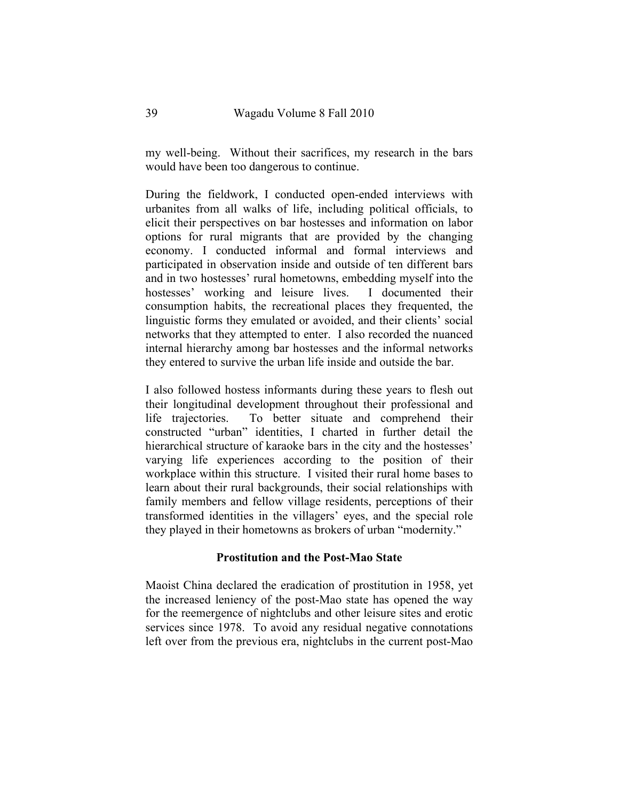my well-being. Without their sacrifices, my research in the bars would have been too dangerous to continue.

During the fieldwork, I conducted open-ended interviews with urbanites from all walks of life, including political officials, to elicit their perspectives on bar hostesses and information on labor options for rural migrants that are provided by the changing economy. I conducted informal and formal interviews and participated in observation inside and outside of ten different bars and in two hostesses' rural hometowns, embedding myself into the hostesses' working and leisure lives. I documented their consumption habits, the recreational places they frequented, the linguistic forms they emulated or avoided, and their clients' social networks that they attempted to enter. I also recorded the nuanced internal hierarchy among bar hostesses and the informal networks they entered to survive the urban life inside and outside the bar.

I also followed hostess informants during these years to flesh out their longitudinal development throughout their professional and life trajectories. To better situate and comprehend their constructed "urban" identities, I charted in further detail the hierarchical structure of karaoke bars in the city and the hostesses' varying life experiences according to the position of their workplace within this structure. I visited their rural home bases to learn about their rural backgrounds, their social relationships with family members and fellow village residents, perceptions of their transformed identities in the villagers' eyes, and the special role they played in their hometowns as brokers of urban "modernity."

### **Prostitution and the Post-Mao State**

Maoist China declared the eradication of prostitution in 1958, yet the increased leniency of the post-Mao state has opened the way for the reemergence of nightclubs and other leisure sites and erotic services since 1978. To avoid any residual negative connotations left over from the previous era, nightclubs in the current post-Mao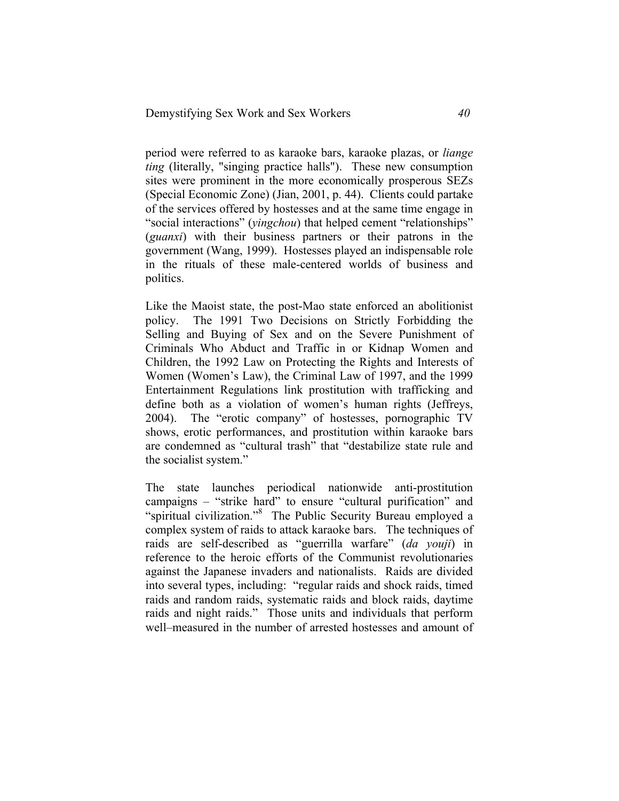period were referred to as karaoke bars, karaoke plazas, or *liange ting* (literally, "singing practice halls"). These new consumption sites were prominent in the more economically prosperous SEZs (Special Economic Zone) (Jian, 2001, p. 44). Clients could partake of the services offered by hostesses and at the same time engage in "social interactions" (*yingchou*) that helped cement "relationships" (*guanxi*) with their business partners or their patrons in the government (Wang, 1999). Hostesses played an indispensable role in the rituals of these male-centered worlds of business and politics.

Like the Maoist state, the post-Mao state enforced an abolitionist policy. The 1991 Two Decisions on Strictly Forbidding the Selling and Buying of Sex and on the Severe Punishment of Criminals Who Abduct and Traffic in or Kidnap Women and Children, the 1992 Law on Protecting the Rights and Interests of Women (Women's Law), the Criminal Law of 1997, and the 1999 Entertainment Regulations link prostitution with trafficking and define both as a violation of women's human rights (Jeffreys, 2004). The "erotic company" of hostesses, pornographic TV shows, erotic performances, and prostitution within karaoke bars are condemned as "cultural trash" that "destabilize state rule and the socialist system."

The state launches periodical nationwide anti-prostitution campaigns – "strike hard" to ensure "cultural purification" and "spiritual civilization."<sup>8</sup> The Public Security Bureau employed a complex system of raids to attack karaoke bars. The techniques of raids are self-described as "guerrilla warfare" (*da youji*) in reference to the heroic efforts of the Communist revolutionaries against the Japanese invaders and nationalists. Raids are divided into several types, including: "regular raids and shock raids, timed raids and random raids, systematic raids and block raids, daytime raids and night raids." Those units and individuals that perform well–measured in the number of arrested hostesses and amount of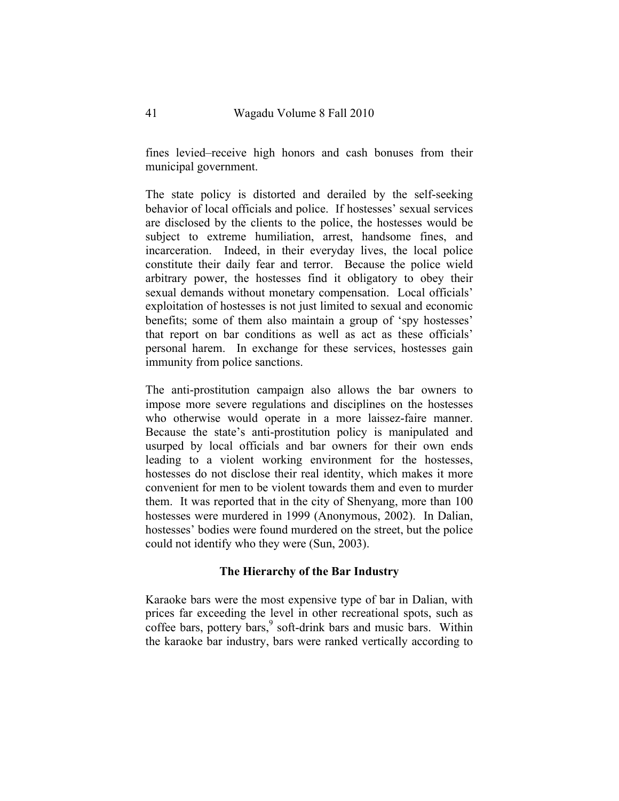fines levied–receive high honors and cash bonuses from their municipal government.

The state policy is distorted and derailed by the self-seeking behavior of local officials and police. If hostesses' sexual services are disclosed by the clients to the police, the hostesses would be subject to extreme humiliation, arrest, handsome fines, and incarceration. Indeed, in their everyday lives, the local police constitute their daily fear and terror. Because the police wield arbitrary power, the hostesses find it obligatory to obey their sexual demands without monetary compensation. Local officials' exploitation of hostesses is not just limited to sexual and economic benefits; some of them also maintain a group of 'spy hostesses' that report on bar conditions as well as act as these officials' personal harem. In exchange for these services, hostesses gain immunity from police sanctions.

The anti-prostitution campaign also allows the bar owners to impose more severe regulations and disciplines on the hostesses who otherwise would operate in a more laissez-faire manner. Because the state's anti-prostitution policy is manipulated and usurped by local officials and bar owners for their own ends leading to a violent working environment for the hostesses, hostesses do not disclose their real identity, which makes it more convenient for men to be violent towards them and even to murder them. It was reported that in the city of Shenyang, more than 100 hostesses were murdered in 1999 (Anonymous, 2002). In Dalian, hostesses' bodies were found murdered on the street, but the police could not identify who they were (Sun, 2003).

# **The Hierarchy of the Bar Industry**

Karaoke bars were the most expensive type of bar in Dalian, with prices far exceeding the level in other recreational spots, such as coffee bars, pottery bars, <sup>9</sup> soft-drink bars and music bars. Within the karaoke bar industry, bars were ranked vertically according to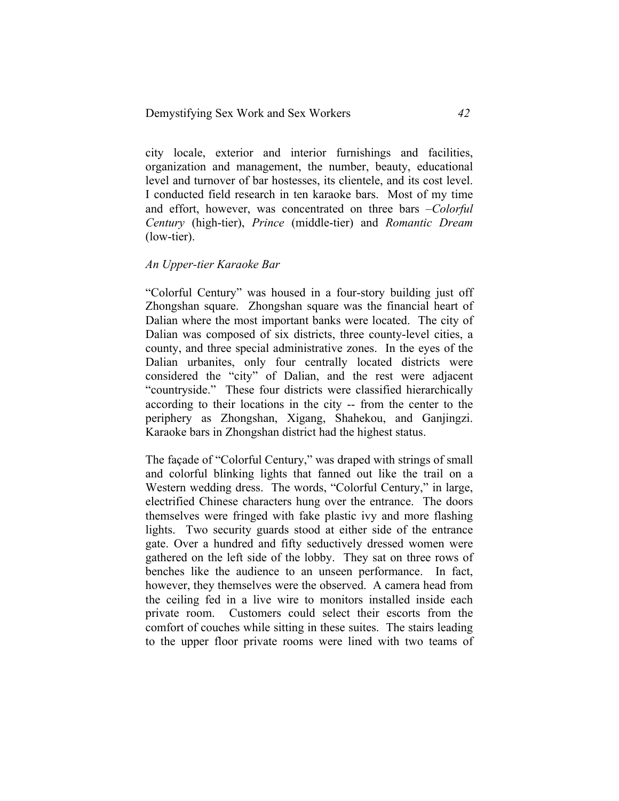city locale, exterior and interior furnishings and facilities, organization and management, the number, beauty, educational level and turnover of bar hostesses, its clientele, and its cost level. I conducted field research in ten karaoke bars. Most of my time and effort, however, was concentrated on three bars –*Colorful Century* (high-tier), *Prince* (middle-tier) and *Romantic Dream* (low-tier).

#### *An Upper-tier Karaoke Bar*

"Colorful Century" was housed in a four-story building just off Zhongshan square. Zhongshan square was the financial heart of Dalian where the most important banks were located. The city of Dalian was composed of six districts, three county-level cities, a county, and three special administrative zones. In the eyes of the Dalian urbanites, only four centrally located districts were considered the "city" of Dalian, and the rest were adjacent "countryside." These four districts were classified hierarchically according to their locations in the city -- from the center to the periphery as Zhongshan, Xigang, Shahekou, and Ganjingzi. Karaoke bars in Zhongshan district had the highest status.

The façade of "Colorful Century," was draped with strings of small and colorful blinking lights that fanned out like the trail on a Western wedding dress. The words, "Colorful Century," in large, electrified Chinese characters hung over the entrance. The doors themselves were fringed with fake plastic ivy and more flashing lights. Two security guards stood at either side of the entrance gate. Over a hundred and fifty seductively dressed women were gathered on the left side of the lobby. They sat on three rows of benches like the audience to an unseen performance. In fact, however, they themselves were the observed. A camera head from the ceiling fed in a live wire to monitors installed inside each private room. Customers could select their escorts from the comfort of couches while sitting in these suites. The stairs leading to the upper floor private rooms were lined with two teams of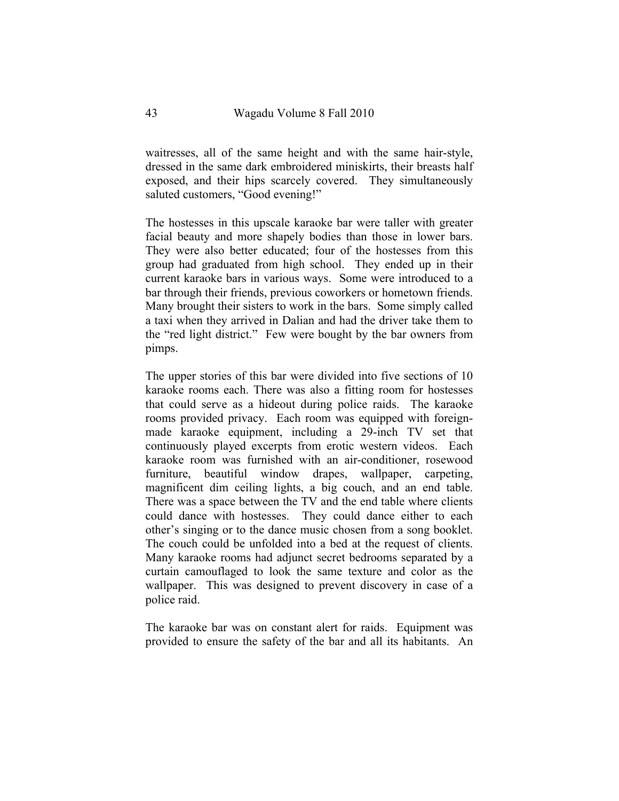waitresses, all of the same height and with the same hair-style, dressed in the same dark embroidered miniskirts, their breasts half exposed, and their hips scarcely covered. They simultaneously saluted customers, "Good evening!"

The hostesses in this upscale karaoke bar were taller with greater facial beauty and more shapely bodies than those in lower bars. They were also better educated; four of the hostesses from this group had graduated from high school. They ended up in their current karaoke bars in various ways. Some were introduced to a bar through their friends, previous coworkers or hometown friends. Many brought their sisters to work in the bars. Some simply called a taxi when they arrived in Dalian and had the driver take them to the "red light district." Few were bought by the bar owners from pimps.

The upper stories of this bar were divided into five sections of 10 karaoke rooms each. There was also a fitting room for hostesses that could serve as a hideout during police raids. The karaoke rooms provided privacy. Each room was equipped with foreignmade karaoke equipment, including a 29-inch TV set that continuously played excerpts from erotic western videos. Each karaoke room was furnished with an air-conditioner, rosewood furniture, beautiful window drapes, wallpaper, carpeting, magnificent dim ceiling lights, a big couch, and an end table. There was a space between the TV and the end table where clients could dance with hostesses. They could dance either to each other's singing or to the dance music chosen from a song booklet. The couch could be unfolded into a bed at the request of clients. Many karaoke rooms had adjunct secret bedrooms separated by a curtain camouflaged to look the same texture and color as the wallpaper. This was designed to prevent discovery in case of a police raid.

The karaoke bar was on constant alert for raids. Equipment was provided to ensure the safety of the bar and all its habitants. An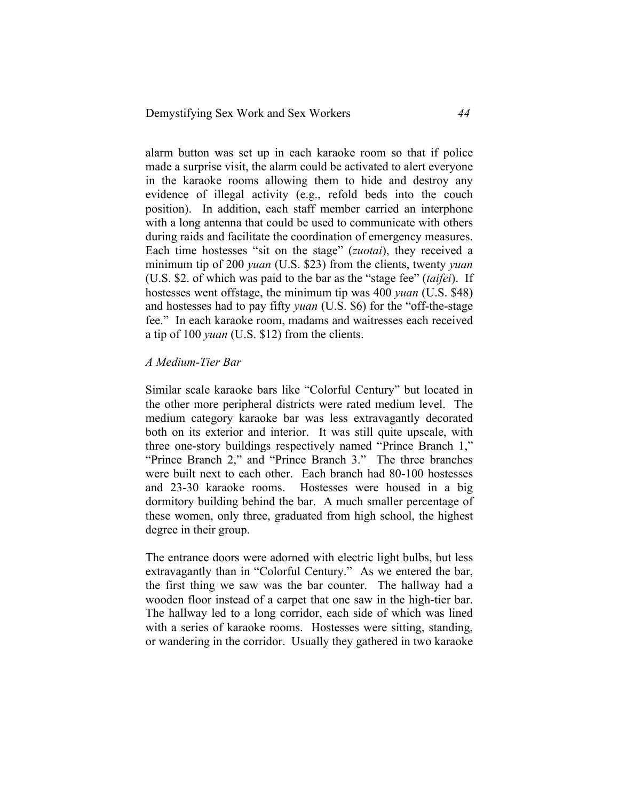alarm button was set up in each karaoke room so that if police made a surprise visit, the alarm could be activated to alert everyone in the karaoke rooms allowing them to hide and destroy any evidence of illegal activity (e.g., refold beds into the couch position). In addition, each staff member carried an interphone with a long antenna that could be used to communicate with others during raids and facilitate the coordination of emergency measures. Each time hostesses "sit on the stage" (*zuotai*), they received a minimum tip of 200 *yuan* (U.S. \$23) from the clients, twenty *yuan* (U.S. \$2. of which was paid to the bar as the "stage fee" (*taifei*). If hostesses went offstage, the minimum tip was 400 *yuan* (U.S. \$48) and hostesses had to pay fifty *yuan* (U.S. \$6) for the "off-the-stage fee." In each karaoke room, madams and waitresses each received a tip of 100 *yuan* (U.S. \$12) from the clients.

### *A Medium-Tier Bar*

Similar scale karaoke bars like "Colorful Century" but located in the other more peripheral districts were rated medium level. The medium category karaoke bar was less extravagantly decorated both on its exterior and interior. It was still quite upscale, with three one-story buildings respectively named "Prince Branch 1," "Prince Branch 2," and "Prince Branch 3." The three branches were built next to each other. Each branch had 80-100 hostesses and 23-30 karaoke rooms. Hostesses were housed in a big dormitory building behind the bar. A much smaller percentage of these women, only three, graduated from high school, the highest degree in their group.

The entrance doors were adorned with electric light bulbs, but less extravagantly than in "Colorful Century." As we entered the bar, the first thing we saw was the bar counter. The hallway had a wooden floor instead of a carpet that one saw in the high-tier bar. The hallway led to a long corridor, each side of which was lined with a series of karaoke rooms. Hostesses were sitting, standing, or wandering in the corridor. Usually they gathered in two karaoke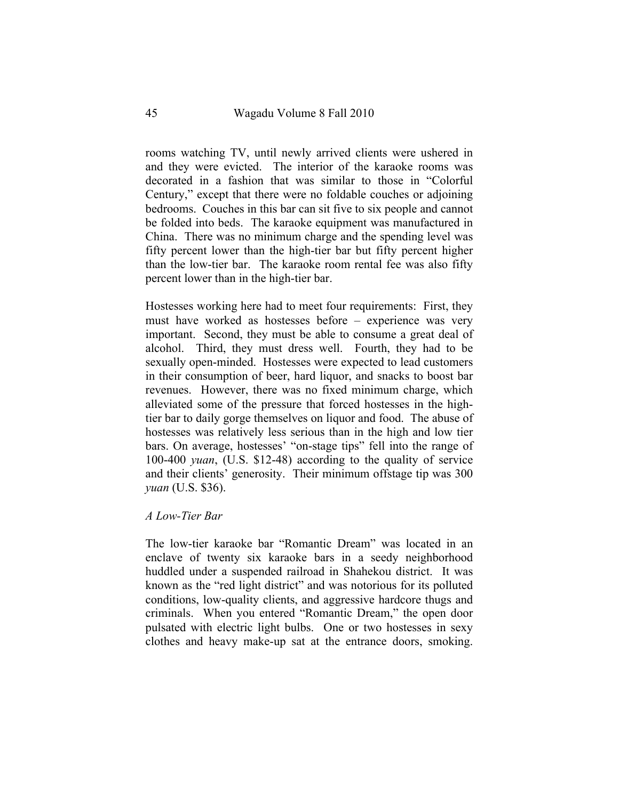rooms watching TV, until newly arrived clients were ushered in and they were evicted. The interior of the karaoke rooms was decorated in a fashion that was similar to those in "Colorful Century," except that there were no foldable couches or adjoining bedrooms. Couches in this bar can sit five to six people and cannot be folded into beds. The karaoke equipment was manufactured in China. There was no minimum charge and the spending level was fifty percent lower than the high-tier bar but fifty percent higher than the low-tier bar. The karaoke room rental fee was also fifty percent lower than in the high-tier bar.

Hostesses working here had to meet four requirements: First, they must have worked as hostesses before – experience was very important. Second, they must be able to consume a great deal of alcohol. Third, they must dress well. Fourth, they had to be sexually open-minded. Hostesses were expected to lead customers in their consumption of beer, hard liquor, and snacks to boost bar revenues. However, there was no fixed minimum charge, which alleviated some of the pressure that forced hostesses in the hightier bar to daily gorge themselves on liquor and food. The abuse of hostesses was relatively less serious than in the high and low tier bars. On average, hostesses' "on-stage tips" fell into the range of 100-400 *yuan*, (U.S. \$12-48) according to the quality of service and their clients' generosity. Their minimum offstage tip was 300 *yuan* (U.S. \$36).

### *A Low-Tier Bar*

The low-tier karaoke bar "Romantic Dream" was located in an enclave of twenty six karaoke bars in a seedy neighborhood huddled under a suspended railroad in Shahekou district. It was known as the "red light district" and was notorious for its polluted conditions, low-quality clients, and aggressive hardcore thugs and criminals. When you entered "Romantic Dream," the open door pulsated with electric light bulbs. One or two hostesses in sexy clothes and heavy make-up sat at the entrance doors, smoking.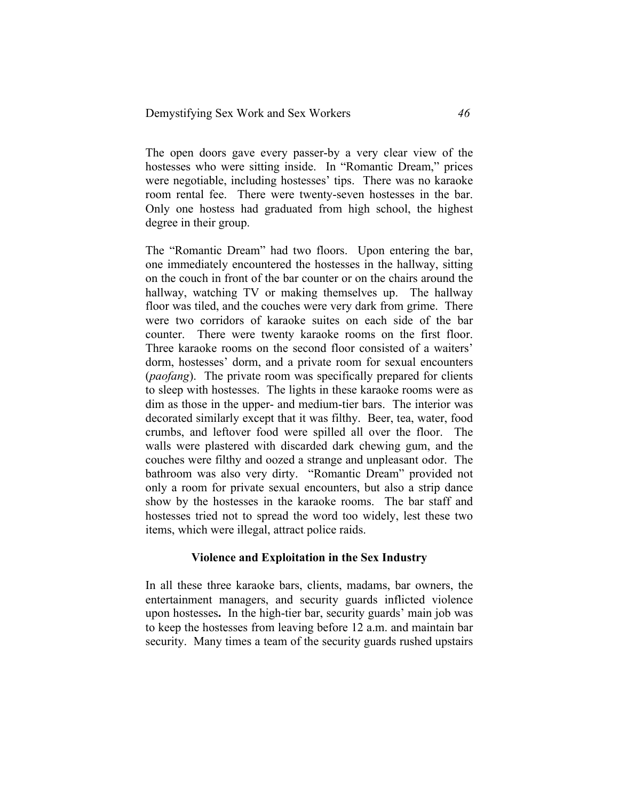The open doors gave every passer-by a very clear view of the hostesses who were sitting inside. In "Romantic Dream," prices were negotiable, including hostesses' tips. There was no karaoke room rental fee. There were twenty-seven hostesses in the bar. Only one hostess had graduated from high school, the highest degree in their group.

The "Romantic Dream" had two floors. Upon entering the bar, one immediately encountered the hostesses in the hallway, sitting on the couch in front of the bar counter or on the chairs around the hallway, watching TV or making themselves up. The hallway floor was tiled, and the couches were very dark from grime. There were two corridors of karaoke suites on each side of the bar counter. There were twenty karaoke rooms on the first floor. Three karaoke rooms on the second floor consisted of a waiters' dorm, hostesses' dorm, and a private room for sexual encounters (*paofang*). The private room was specifically prepared for clients to sleep with hostesses. The lights in these karaoke rooms were as dim as those in the upper- and medium-tier bars. The interior was decorated similarly except that it was filthy. Beer, tea, water, food crumbs, and leftover food were spilled all over the floor. The walls were plastered with discarded dark chewing gum, and the couches were filthy and oozed a strange and unpleasant odor. The bathroom was also very dirty. "Romantic Dream" provided not only a room for private sexual encounters, but also a strip dance show by the hostesses in the karaoke rooms. The bar staff and hostesses tried not to spread the word too widely, lest these two items, which were illegal, attract police raids.

#### **Violence and Exploitation in the Sex Industry**

In all these three karaoke bars, clients, madams, bar owners, the entertainment managers, and security guards inflicted violence upon hostesses**.** In the high-tier bar, security guards' main job was to keep the hostesses from leaving before 12 a.m. and maintain bar security. Many times a team of the security guards rushed upstairs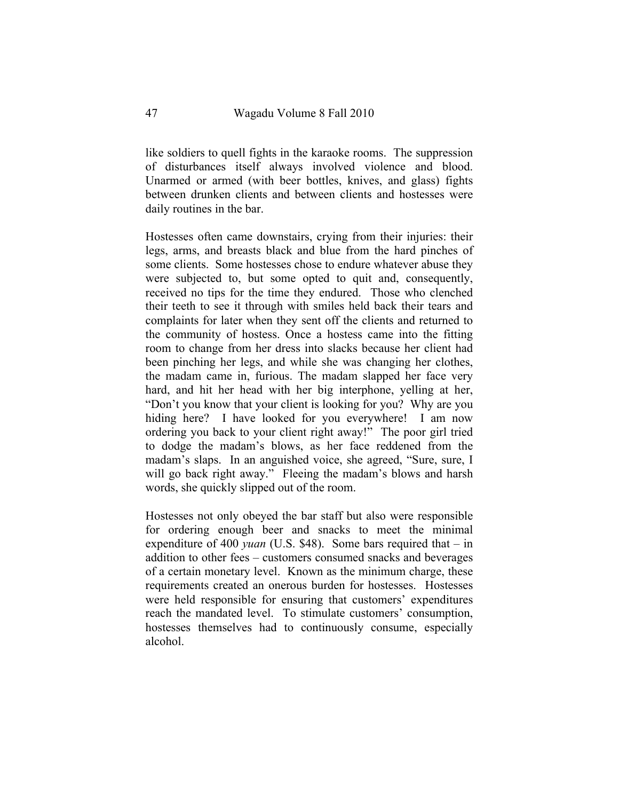like soldiers to quell fights in the karaoke rooms. The suppression of disturbances itself always involved violence and blood. Unarmed or armed (with beer bottles, knives, and glass) fights between drunken clients and between clients and hostesses were daily routines in the bar.

Hostesses often came downstairs, crying from their injuries: their legs, arms, and breasts black and blue from the hard pinches of some clients. Some hostesses chose to endure whatever abuse they were subjected to, but some opted to quit and, consequently, received no tips for the time they endured. Those who clenched their teeth to see it through with smiles held back their tears and complaints for later when they sent off the clients and returned to the community of hostess. Once a hostess came into the fitting room to change from her dress into slacks because her client had been pinching her legs, and while she was changing her clothes, the madam came in, furious. The madam slapped her face very hard, and hit her head with her big interphone, yelling at her, "Don't you know that your client is looking for you? Why are you hiding here? I have looked for you everywhere! I am now ordering you back to your client right away!" The poor girl tried to dodge the madam's blows, as her face reddened from the madam's slaps. In an anguished voice, she agreed, "Sure, sure, I will go back right away." Fleeing the madam's blows and harsh words, she quickly slipped out of the room.

Hostesses not only obeyed the bar staff but also were responsible for ordering enough beer and snacks to meet the minimal expenditure of 400 *yuan* (U.S. \$48). Some bars required that – in addition to other fees – customers consumed snacks and beverages of a certain monetary level. Known as the minimum charge, these requirements created an onerous burden for hostesses. Hostesses were held responsible for ensuring that customers' expenditures reach the mandated level. To stimulate customers' consumption, hostesses themselves had to continuously consume, especially alcohol.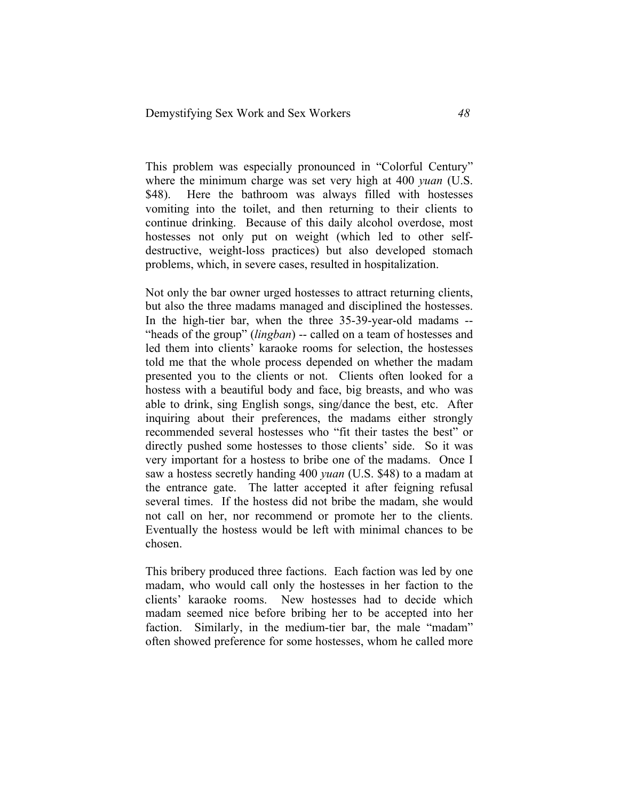This problem was especially pronounced in "Colorful Century" where the minimum charge was set very high at 400 *yuan* (U.S. \$48). Here the bathroom was always filled with hostesses vomiting into the toilet, and then returning to their clients to continue drinking. Because of this daily alcohol overdose, most hostesses not only put on weight (which led to other selfdestructive, weight-loss practices) but also developed stomach problems, which, in severe cases, resulted in hospitalization.

Not only the bar owner urged hostesses to attract returning clients, but also the three madams managed and disciplined the hostesses. In the high-tier bar, when the three 35-39-year-old madams -- "heads of the group" (*lingban*) -- called on a team of hostesses and led them into clients' karaoke rooms for selection, the hostesses told me that the whole process depended on whether the madam presented you to the clients or not. Clients often looked for a hostess with a beautiful body and face, big breasts, and who was able to drink, sing English songs, sing/dance the best, etc. After inquiring about their preferences, the madams either strongly recommended several hostesses who "fit their tastes the best" or directly pushed some hostesses to those clients' side. So it was very important for a hostess to bribe one of the madams. Once I saw a hostess secretly handing 400 *yuan* (U.S. \$48) to a madam at the entrance gate. The latter accepted it after feigning refusal several times. If the hostess did not bribe the madam, she would not call on her, nor recommend or promote her to the clients. Eventually the hostess would be left with minimal chances to be chosen.

This bribery produced three factions. Each faction was led by one madam, who would call only the hostesses in her faction to the clients' karaoke rooms. New hostesses had to decide which madam seemed nice before bribing her to be accepted into her faction. Similarly, in the medium-tier bar, the male "madam" often showed preference for some hostesses, whom he called more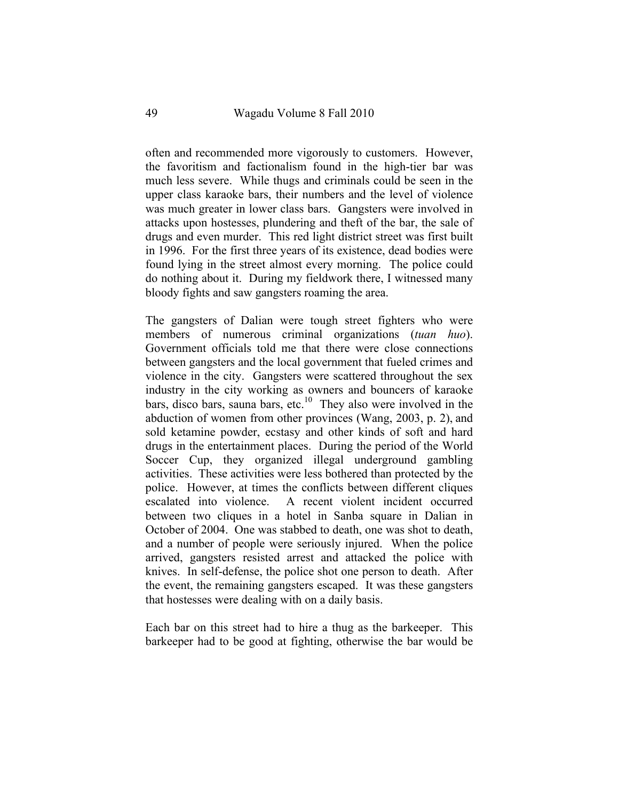often and recommended more vigorously to customers. However, the favoritism and factionalism found in the high-tier bar was much less severe. While thugs and criminals could be seen in the upper class karaoke bars, their numbers and the level of violence was much greater in lower class bars. Gangsters were involved in attacks upon hostesses, plundering and theft of the bar, the sale of drugs and even murder. This red light district street was first built in 1996. For the first three years of its existence, dead bodies were found lying in the street almost every morning. The police could do nothing about it. During my fieldwork there, I witnessed many bloody fights and saw gangsters roaming the area.

The gangsters of Dalian were tough street fighters who were members of numerous criminal organizations (*tuan huo*). Government officials told me that there were close connections between gangsters and the local government that fueled crimes and violence in the city. Gangsters were scattered throughout the sex industry in the city working as owners and bouncers of karaoke bars, disco bars, sauna bars, etc.<sup>10</sup> They also were involved in the abduction of women from other provinces (Wang, 2003, p. 2), and sold ketamine powder, ecstasy and other kinds of soft and hard drugs in the entertainment places. During the period of the World Soccer Cup, they organized illegal underground gambling activities. These activities were less bothered than protected by the police. However, at times the conflicts between different cliques escalated into violence. A recent violent incident occurred between two cliques in a hotel in Sanba square in Dalian in October of 2004. One was stabbed to death, one was shot to death, and a number of people were seriously injured. When the police arrived, gangsters resisted arrest and attacked the police with knives. In self-defense, the police shot one person to death. After the event, the remaining gangsters escaped. It was these gangsters that hostesses were dealing with on a daily basis.

Each bar on this street had to hire a thug as the barkeeper. This barkeeper had to be good at fighting, otherwise the bar would be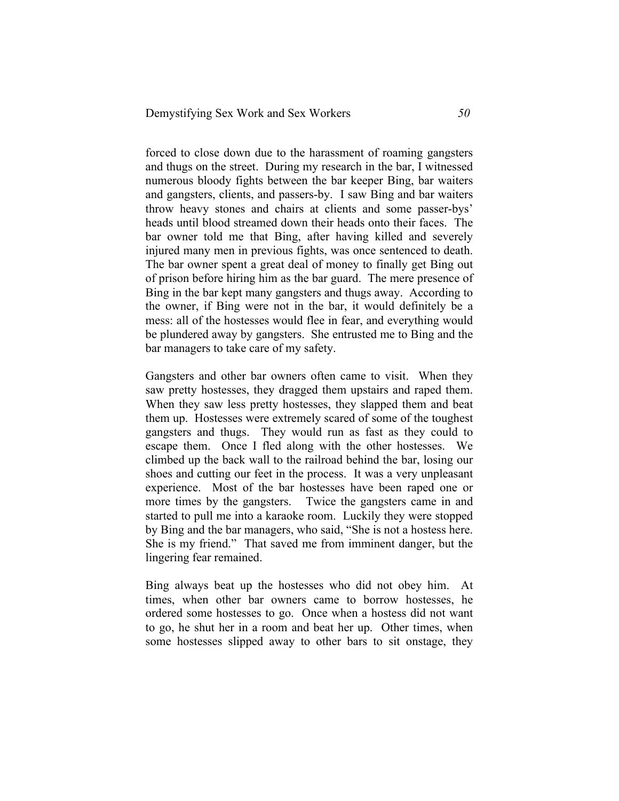forced to close down due to the harassment of roaming gangsters and thugs on the street. During my research in the bar, I witnessed numerous bloody fights between the bar keeper Bing, bar waiters and gangsters, clients, and passers-by. I saw Bing and bar waiters throw heavy stones and chairs at clients and some passer-bys' heads until blood streamed down their heads onto their faces. The bar owner told me that Bing, after having killed and severely injured many men in previous fights, was once sentenced to death. The bar owner spent a great deal of money to finally get Bing out of prison before hiring him as the bar guard. The mere presence of Bing in the bar kept many gangsters and thugs away. According to the owner, if Bing were not in the bar, it would definitely be a mess: all of the hostesses would flee in fear, and everything would be plundered away by gangsters. She entrusted me to Bing and the bar managers to take care of my safety.

Gangsters and other bar owners often came to visit. When they saw pretty hostesses, they dragged them upstairs and raped them. When they saw less pretty hostesses, they slapped them and beat them up. Hostesses were extremely scared of some of the toughest gangsters and thugs. They would run as fast as they could to escape them. Once I fled along with the other hostesses. We climbed up the back wall to the railroad behind the bar, losing our shoes and cutting our feet in the process. It was a very unpleasant experience. Most of the bar hostesses have been raped one or more times by the gangsters. Twice the gangsters came in and started to pull me into a karaoke room. Luckily they were stopped by Bing and the bar managers, who said, "She is not a hostess here. She is my friend." That saved me from imminent danger, but the lingering fear remained.

Bing always beat up the hostesses who did not obey him. At times, when other bar owners came to borrow hostesses, he ordered some hostesses to go. Once when a hostess did not want to go, he shut her in a room and beat her up. Other times, when some hostesses slipped away to other bars to sit onstage, they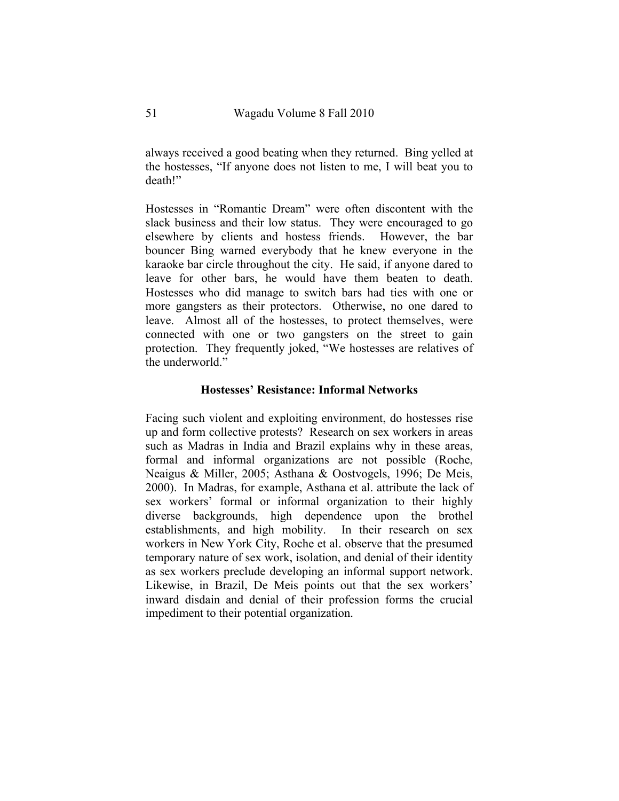always received a good beating when they returned. Bing yelled at the hostesses, "If anyone does not listen to me, I will beat you to death!"

Hostesses in "Romantic Dream" were often discontent with the slack business and their low status. They were encouraged to go elsewhere by clients and hostess friends. However, the bar bouncer Bing warned everybody that he knew everyone in the karaoke bar circle throughout the city. He said, if anyone dared to leave for other bars, he would have them beaten to death. Hostesses who did manage to switch bars had ties with one or more gangsters as their protectors. Otherwise, no one dared to leave. Almost all of the hostesses, to protect themselves, were connected with one or two gangsters on the street to gain protection. They frequently joked, "We hostesses are relatives of the underworld."

### **Hostesses' Resistance: Informal Networks**

Facing such violent and exploiting environment, do hostesses rise up and form collective protests? Research on sex workers in areas such as Madras in India and Brazil explains why in these areas, formal and informal organizations are not possible (Roche, Neaigus & Miller, 2005; Asthana & Oostvogels, 1996; De Meis, 2000). In Madras, for example, Asthana et al. attribute the lack of sex workers' formal or informal organization to their highly diverse backgrounds, high dependence upon the brothel establishments, and high mobility. In their research on sex workers in New York City, Roche et al. observe that the presumed temporary nature of sex work, isolation, and denial of their identity as sex workers preclude developing an informal support network. Likewise, in Brazil, De Meis points out that the sex workers' inward disdain and denial of their profession forms the crucial impediment to their potential organization.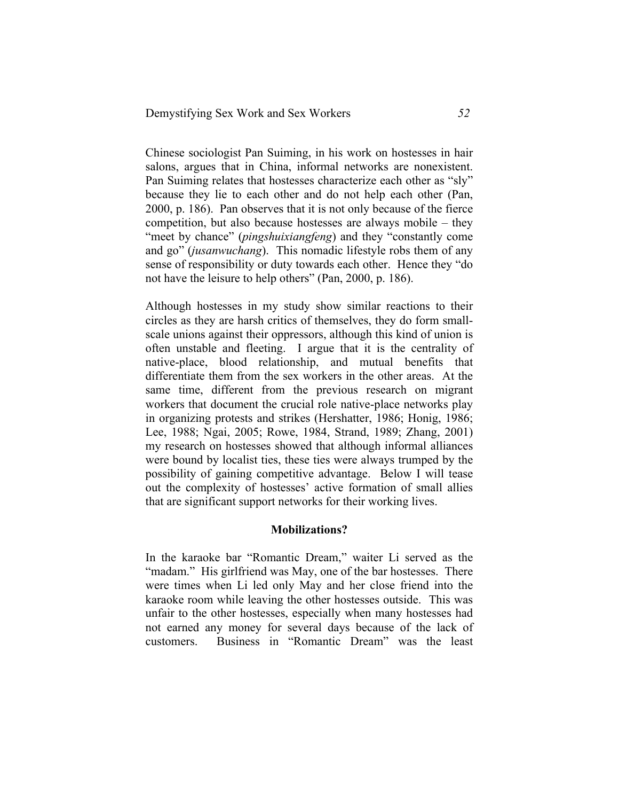Chinese sociologist Pan Suiming, in his work on hostesses in hair salons, argues that in China, informal networks are nonexistent. Pan Suiming relates that hostesses characterize each other as "sly" because they lie to each other and do not help each other (Pan, 2000, p. 186). Pan observes that it is not only because of the fierce competition, but also because hostesses are always mobile – they "meet by chance" (*pingshuixiangfeng*) and they "constantly come and go" (*jusanwuchang*). This nomadic lifestyle robs them of any sense of responsibility or duty towards each other. Hence they "do not have the leisure to help others" (Pan, 2000, p. 186).

Although hostesses in my study show similar reactions to their circles as they are harsh critics of themselves, they do form smallscale unions against their oppressors, although this kind of union is often unstable and fleeting. I argue that it is the centrality of native-place, blood relationship, and mutual benefits that differentiate them from the sex workers in the other areas. At the same time, different from the previous research on migrant workers that document the crucial role native-place networks play in organizing protests and strikes (Hershatter, 1986; Honig, 1986; Lee, 1988; Ngai, 2005; Rowe, 1984, Strand, 1989; Zhang, 2001) my research on hostesses showed that although informal alliances were bound by localist ties, these ties were always trumped by the possibility of gaining competitive advantage. Below I will tease out the complexity of hostesses' active formation of small allies that are significant support networks for their working lives.

### **Mobilizations?**

In the karaoke bar "Romantic Dream," waiter Li served as the "madam." His girlfriend was May, one of the bar hostesses. There were times when Li led only May and her close friend into the karaoke room while leaving the other hostesses outside. This was unfair to the other hostesses, especially when many hostesses had not earned any money for several days because of the lack of customers. Business in "Romantic Dream" was the least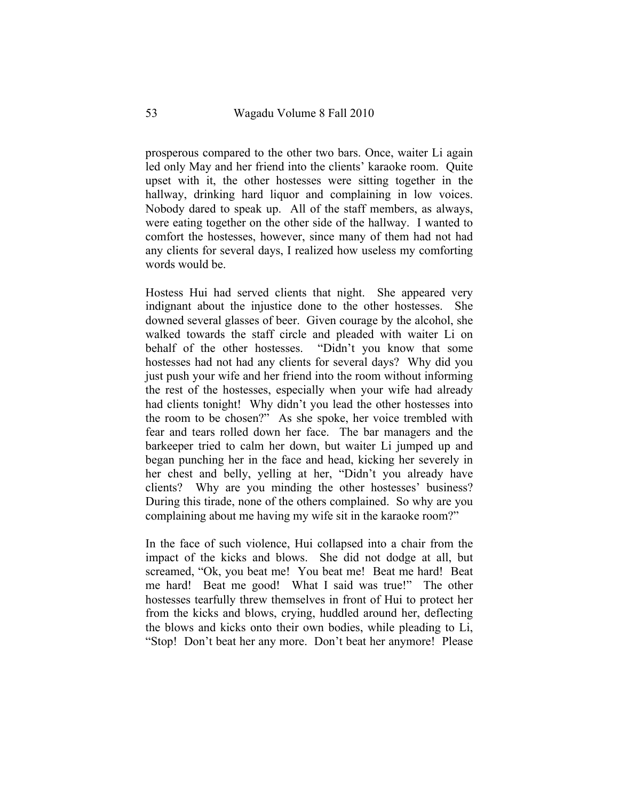prosperous compared to the other two bars. Once, waiter Li again led only May and her friend into the clients' karaoke room. Quite upset with it, the other hostesses were sitting together in the hallway, drinking hard liquor and complaining in low voices. Nobody dared to speak up. All of the staff members, as always, were eating together on the other side of the hallway. I wanted to comfort the hostesses, however, since many of them had not had any clients for several days, I realized how useless my comforting words would be.

Hostess Hui had served clients that night. She appeared very indignant about the injustice done to the other hostesses. She downed several glasses of beer. Given courage by the alcohol, she walked towards the staff circle and pleaded with waiter Li on behalf of the other hostesses. "Didn't you know that some hostesses had not had any clients for several days? Why did you just push your wife and her friend into the room without informing the rest of the hostesses, especially when your wife had already had clients tonight! Why didn't you lead the other hostesses into the room to be chosen?" As she spoke, her voice trembled with fear and tears rolled down her face. The bar managers and the barkeeper tried to calm her down, but waiter Li jumped up and began punching her in the face and head, kicking her severely in her chest and belly, yelling at her, "Didn't you already have clients? Why are you minding the other hostesses' business? During this tirade, none of the others complained. So why are you complaining about me having my wife sit in the karaoke room?"

In the face of such violence, Hui collapsed into a chair from the impact of the kicks and blows. She did not dodge at all, but screamed, "Ok, you beat me! You beat me! Beat me hard! Beat me hard! Beat me good! What I said was true!" The other hostesses tearfully threw themselves in front of Hui to protect her from the kicks and blows, crying, huddled around her, deflecting the blows and kicks onto their own bodies, while pleading to Li, "Stop! Don't beat her any more. Don't beat her anymore! Please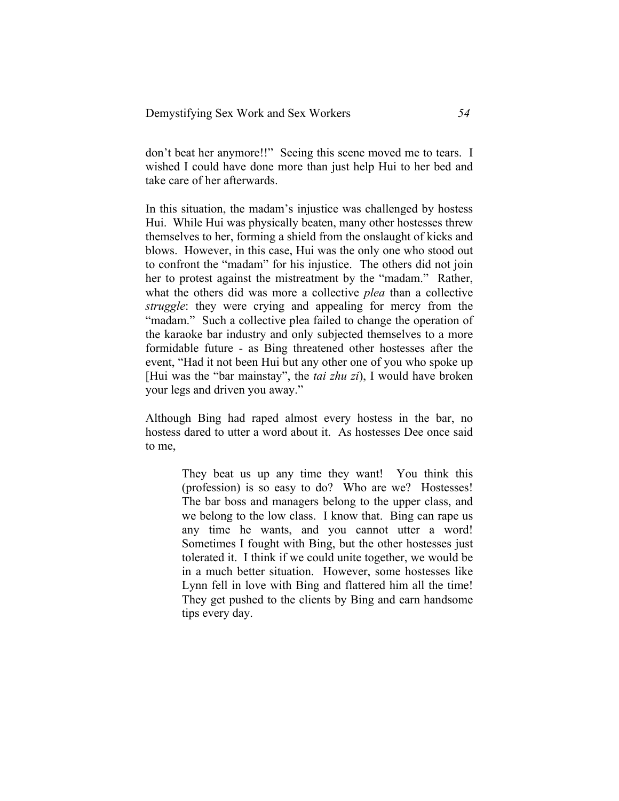don't beat her anymore!!" Seeing this scene moved me to tears. I wished I could have done more than just help Hui to her bed and take care of her afterwards.

In this situation, the madam's injustice was challenged by hostess Hui. While Hui was physically beaten, many other hostesses threw themselves to her, forming a shield from the onslaught of kicks and blows. However, in this case, Hui was the only one who stood out to confront the "madam" for his injustice. The others did not join her to protest against the mistreatment by the "madam." Rather, what the others did was more a collective *plea* than a collective *struggle*: they were crying and appealing for mercy from the "madam." Such a collective plea failed to change the operation of the karaoke bar industry and only subjected themselves to a more formidable future - as Bing threatened other hostesses after the event, "Had it not been Hui but any other one of you who spoke up [Hui was the "bar mainstay", the *tai zhu zi*), I would have broken your legs and driven you away."

Although Bing had raped almost every hostess in the bar, no hostess dared to utter a word about it. As hostesses Dee once said to me,

> They beat us up any time they want! You think this (profession) is so easy to do? Who are we? Hostesses! The bar boss and managers belong to the upper class, and we belong to the low class. I know that. Bing can rape us any time he wants, and you cannot utter a word! Sometimes I fought with Bing, but the other hostesses just tolerated it. I think if we could unite together, we would be in a much better situation. However, some hostesses like Lynn fell in love with Bing and flattered him all the time! They get pushed to the clients by Bing and earn handsome tips every day.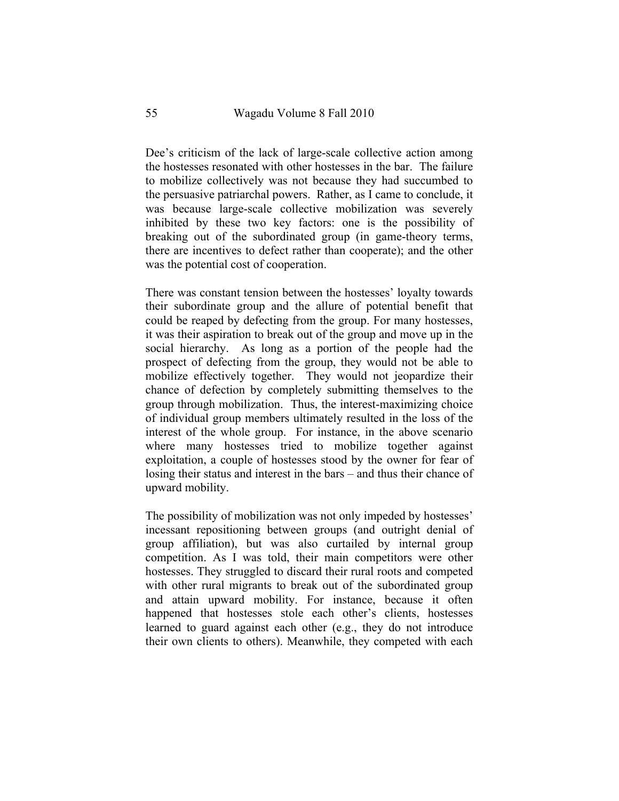Dee's criticism of the lack of large-scale collective action among the hostesses resonated with other hostesses in the bar. The failure to mobilize collectively was not because they had succumbed to the persuasive patriarchal powers. Rather, as I came to conclude, it was because large-scale collective mobilization was severely inhibited by these two key factors: one is the possibility of breaking out of the subordinated group (in game-theory terms, there are incentives to defect rather than cooperate); and the other was the potential cost of cooperation.

There was constant tension between the hostesses' loyalty towards their subordinate group and the allure of potential benefit that could be reaped by defecting from the group. For many hostesses, it was their aspiration to break out of the group and move up in the social hierarchy. As long as a portion of the people had the prospect of defecting from the group, they would not be able to mobilize effectively together. They would not jeopardize their chance of defection by completely submitting themselves to the group through mobilization. Thus, the interest-maximizing choice of individual group members ultimately resulted in the loss of the interest of the whole group. For instance, in the above scenario where many hostesses tried to mobilize together against exploitation, a couple of hostesses stood by the owner for fear of losing their status and interest in the bars – and thus their chance of upward mobility.

The possibility of mobilization was not only impeded by hostesses' incessant repositioning between groups (and outright denial of group affiliation), but was also curtailed by internal group competition. As I was told, their main competitors were other hostesses. They struggled to discard their rural roots and competed with other rural migrants to break out of the subordinated group and attain upward mobility. For instance, because it often happened that hostesses stole each other's clients, hostesses learned to guard against each other (e.g., they do not introduce their own clients to others). Meanwhile, they competed with each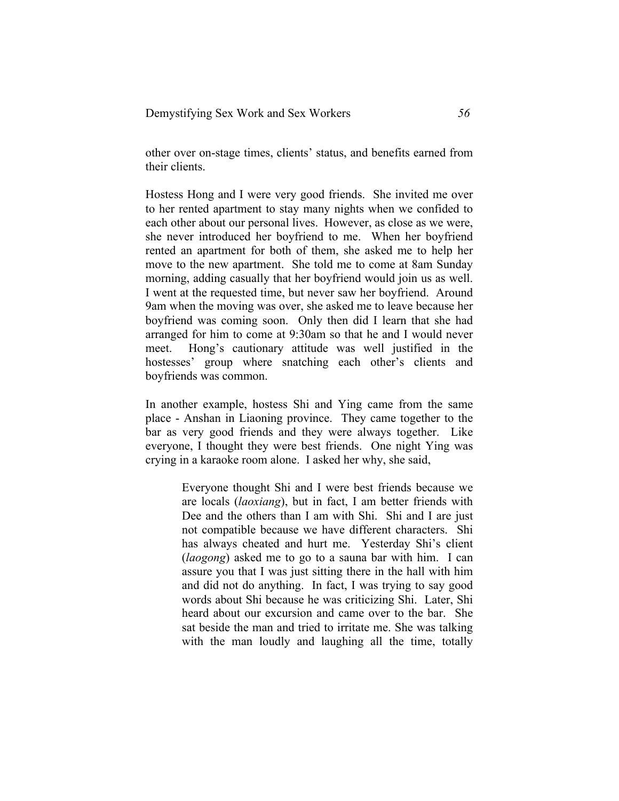other over on-stage times, clients' status, and benefits earned from their clients.

Hostess Hong and I were very good friends. She invited me over to her rented apartment to stay many nights when we confided to each other about our personal lives. However, as close as we were, she never introduced her boyfriend to me. When her boyfriend rented an apartment for both of them, she asked me to help her move to the new apartment. She told me to come at 8am Sunday morning, adding casually that her boyfriend would join us as well. I went at the requested time, but never saw her boyfriend. Around 9am when the moving was over, she asked me to leave because her boyfriend was coming soon. Only then did I learn that she had arranged for him to come at 9:30am so that he and I would never meet. Hong's cautionary attitude was well justified in the hostesses' group where snatching each other's clients and boyfriends was common.

In another example, hostess Shi and Ying came from the same place - Anshan in Liaoning province. They came together to the bar as very good friends and they were always together. Like everyone, I thought they were best friends. One night Ying was crying in a karaoke room alone. I asked her why, she said,

> Everyone thought Shi and I were best friends because we are locals (*laoxiang*), but in fact, I am better friends with Dee and the others than I am with Shi. Shi and I are just not compatible because we have different characters. Shi has always cheated and hurt me. Yesterday Shi's client (*laogong*) asked me to go to a sauna bar with him. I can assure you that I was just sitting there in the hall with him and did not do anything. In fact, I was trying to say good words about Shi because he was criticizing Shi. Later, Shi heard about our excursion and came over to the bar. She sat beside the man and tried to irritate me. She was talking with the man loudly and laughing all the time, totally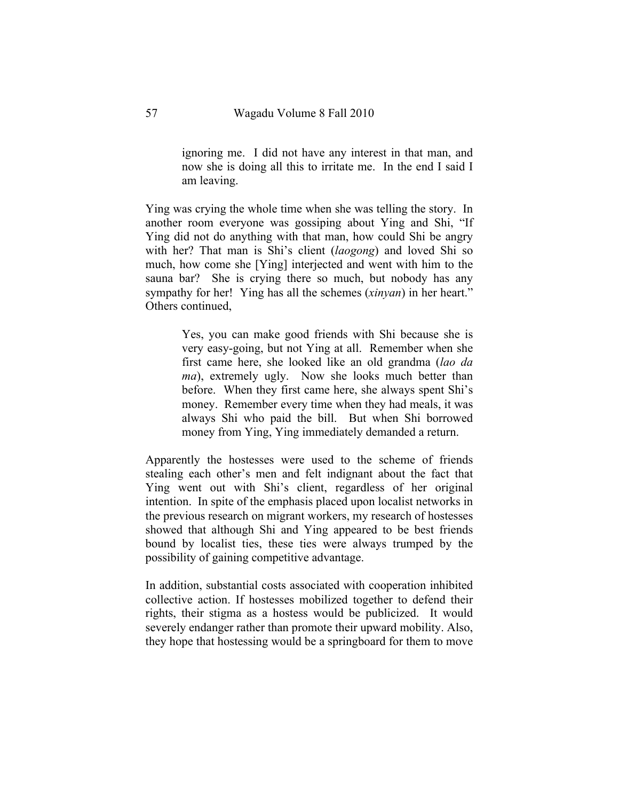ignoring me. I did not have any interest in that man, and now she is doing all this to irritate me. In the end I said I am leaving.

Ying was crying the whole time when she was telling the story. In another room everyone was gossiping about Ying and Shi, "If Ying did not do anything with that man, how could Shi be angry with her? That man is Shi's client (*laogong*) and loved Shi so much, how come she [Ying] interjected and went with him to the sauna bar? She is crying there so much, but nobody has any sympathy for her! Ying has all the schemes (*xinyan*) in her heart." Others continued,

> Yes, you can make good friends with Shi because she is very easy-going, but not Ying at all. Remember when she first came here, she looked like an old grandma (*lao da ma*), extremely ugly. Now she looks much better than before. When they first came here, she always spent Shi's money. Remember every time when they had meals, it was always Shi who paid the bill. But when Shi borrowed money from Ying, Ying immediately demanded a return.

Apparently the hostesses were used to the scheme of friends stealing each other's men and felt indignant about the fact that Ying went out with Shi's client, regardless of her original intention. In spite of the emphasis placed upon localist networks in the previous research on migrant workers, my research of hostesses showed that although Shi and Ying appeared to be best friends bound by localist ties, these ties were always trumped by the possibility of gaining competitive advantage.

In addition, substantial costs associated with cooperation inhibited collective action. If hostesses mobilized together to defend their rights, their stigma as a hostess would be publicized. It would severely endanger rather than promote their upward mobility. Also, they hope that hostessing would be a springboard for them to move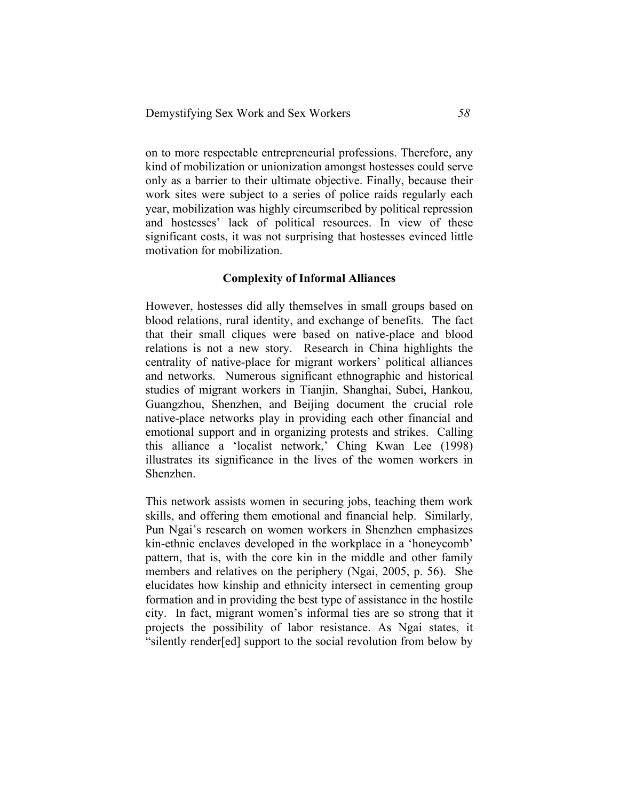on to more respectable entrepreneurial professions. Therefore, any kind of mobilization or unionization amongst hostesses could serve only as a barrier to their ultimate objective. Finally, because their work sites were subject to a series of police raids regularly each year, mobilization was highly circumscribed by political repression and hostesses' lack of political resources. In view of these significant costs, it was not surprising that hostesses evinced little motivation for mobilization.

## **Complexity of Informal Alliances**

However, hostesses did ally themselves in small groups based on blood relations, rural identity, and exchange of benefits. The fact that their small cliques were based on native-place and blood relations is not a new story. Research in China highlights the centrality of native-place for migrant workers' political alliances and networks. Numerous significant ethnographic and historical studies of migrant workers in Tianjin, Shanghai, Subei, Hankou, Guangzhou, Shenzhen, and Beijing document the crucial role native-place networks play in providing each other financial and emotional support and in organizing protests and strikes. Calling this alliance a 'localist network,' Ching Kwan Lee (1998) illustrates its significance in the lives of the women workers in Shenzhen.

This network assists women in securing jobs, teaching them work skills, and offering them emotional and financial help. Similarly, Pun Ngai's research on women workers in Shenzhen emphasizes kin-ethnic enclaves developed in the workplace in a 'honeycomb' pattern, that is, with the core kin in the middle and other family members and relatives on the periphery (Ngai, 2005, p. 56). She elucidates how kinship and ethnicity intersect in cementing group formation and in providing the best type of assistance in the hostile city. In fact, migrant women's informal ties are so strong that it projects the possibility of labor resistance. As Ngai states, it "silently render[ed] support to the social revolution from below by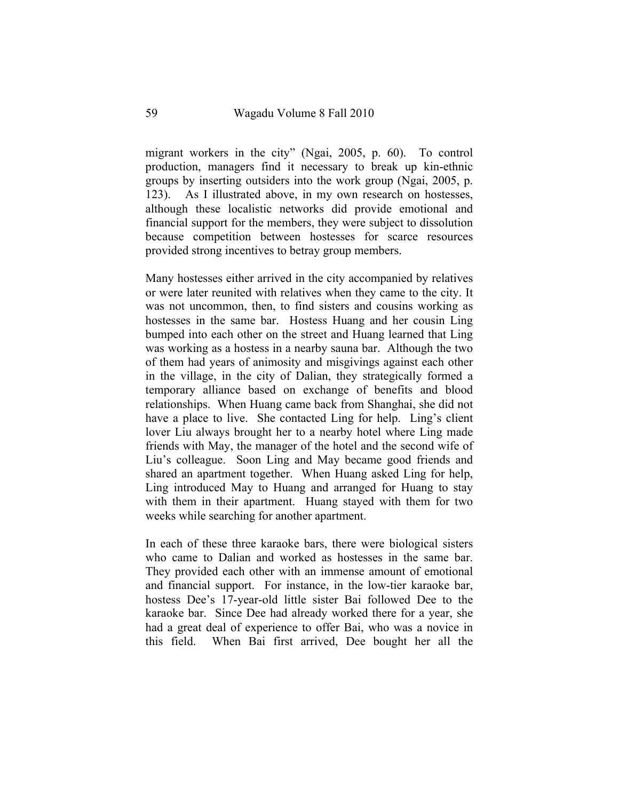migrant workers in the city" (Ngai, 2005, p. 60). To control production, managers find it necessary to break up kin-ethnic groups by inserting outsiders into the work group (Ngai, 2005, p. 123). As I illustrated above, in my own research on hostesses, although these localistic networks did provide emotional and financial support for the members, they were subject to dissolution because competition between hostesses for scarce resources provided strong incentives to betray group members.

Many hostesses either arrived in the city accompanied by relatives or were later reunited with relatives when they came to the city. It was not uncommon, then, to find sisters and cousins working as hostesses in the same bar. Hostess Huang and her cousin Ling bumped into each other on the street and Huang learned that Ling was working as a hostess in a nearby sauna bar. Although the two of them had years of animosity and misgivings against each other in the village, in the city of Dalian, they strategically formed a temporary alliance based on exchange of benefits and blood relationships. When Huang came back from Shanghai, she did not have a place to live. She contacted Ling for help. Ling's client lover Liu always brought her to a nearby hotel where Ling made friends with May, the manager of the hotel and the second wife of Liu's colleague. Soon Ling and May became good friends and shared an apartment together. When Huang asked Ling for help, Ling introduced May to Huang and arranged for Huang to stay with them in their apartment. Huang stayed with them for two weeks while searching for another apartment.

In each of these three karaoke bars, there were biological sisters who came to Dalian and worked as hostesses in the same bar. They provided each other with an immense amount of emotional and financial support. For instance, in the low-tier karaoke bar, hostess Dee's 17-year-old little sister Bai followed Dee to the karaoke bar. Since Dee had already worked there for a year, she had a great deal of experience to offer Bai, who was a novice in this field. When Bai first arrived, Dee bought her all the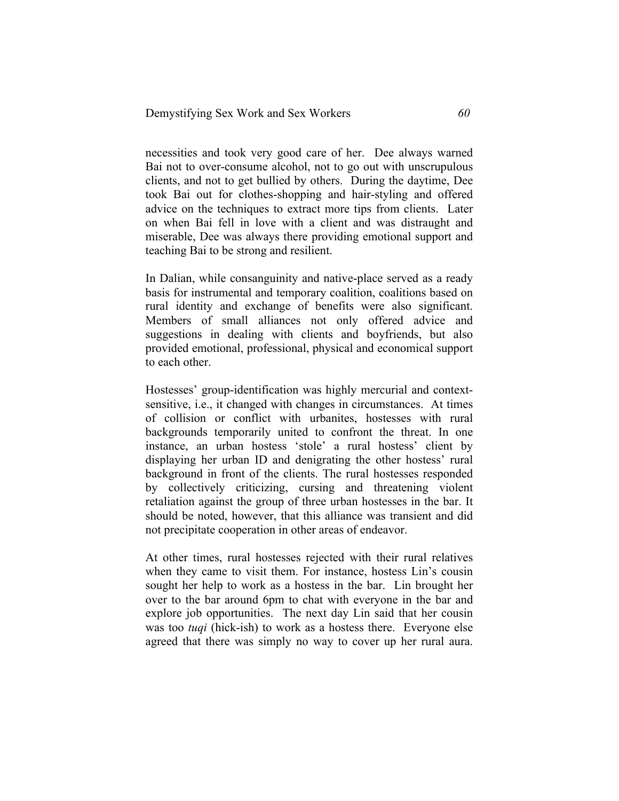necessities and took very good care of her. Dee always warned Bai not to over-consume alcohol, not to go out with unscrupulous clients, and not to get bullied by others. During the daytime, Dee took Bai out for clothes-shopping and hair-styling and offered advice on the techniques to extract more tips from clients. Later on when Bai fell in love with a client and was distraught and miserable, Dee was always there providing emotional support and teaching Bai to be strong and resilient.

In Dalian, while consanguinity and native-place served as a ready basis for instrumental and temporary coalition, coalitions based on rural identity and exchange of benefits were also significant. Members of small alliances not only offered advice and suggestions in dealing with clients and boyfriends, but also provided emotional, professional, physical and economical support to each other.

Hostesses' group-identification was highly mercurial and contextsensitive, i.e., it changed with changes in circumstances. At times of collision or conflict with urbanites, hostesses with rural backgrounds temporarily united to confront the threat. In one instance, an urban hostess 'stole' a rural hostess' client by displaying her urban ID and denigrating the other hostess' rural background in front of the clients. The rural hostesses responded by collectively criticizing, cursing and threatening violent retaliation against the group of three urban hostesses in the bar. It should be noted, however, that this alliance was transient and did not precipitate cooperation in other areas of endeavor.

At other times, rural hostesses rejected with their rural relatives when they came to visit them. For instance, hostess Lin's cousin sought her help to work as a hostess in the bar. Lin brought her over to the bar around 6pm to chat with everyone in the bar and explore job opportunities. The next day Lin said that her cousin was too *tuqi* (hick-ish) to work as a hostess there. Everyone else agreed that there was simply no way to cover up her rural aura.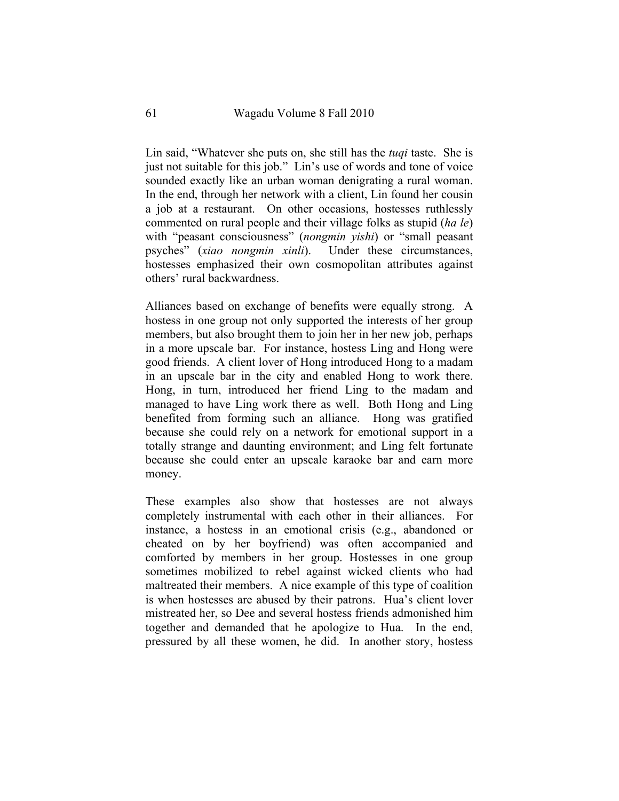Lin said, "Whatever she puts on, she still has the *tuqi* taste. She is just not suitable for this job." Lin's use of words and tone of voice sounded exactly like an urban woman denigrating a rural woman. In the end, through her network with a client, Lin found her cousin a job at a restaurant. On other occasions, hostesses ruthlessly commented on rural people and their village folks as stupid (*ha le*) with "peasant consciousness" (*nongmin yishi*) or "small peasant psyches" (*xiao nongmin xinli*). Under these circumstances, hostesses emphasized their own cosmopolitan attributes against others' rural backwardness.

Alliances based on exchange of benefits were equally strong. A hostess in one group not only supported the interests of her group members, but also brought them to join her in her new job, perhaps in a more upscale bar. For instance, hostess Ling and Hong were good friends. A client lover of Hong introduced Hong to a madam in an upscale bar in the city and enabled Hong to work there. Hong, in turn, introduced her friend Ling to the madam and managed to have Ling work there as well. Both Hong and Ling benefited from forming such an alliance. Hong was gratified because she could rely on a network for emotional support in a totally strange and daunting environment; and Ling felt fortunate because she could enter an upscale karaoke bar and earn more money.

These examples also show that hostesses are not always completely instrumental with each other in their alliances. For instance, a hostess in an emotional crisis (e.g., abandoned or cheated on by her boyfriend) was often accompanied and comforted by members in her group. Hostesses in one group sometimes mobilized to rebel against wicked clients who had maltreated their members. A nice example of this type of coalition is when hostesses are abused by their patrons. Hua's client lover mistreated her, so Dee and several hostess friends admonished him together and demanded that he apologize to Hua. In the end, pressured by all these women, he did. In another story, hostess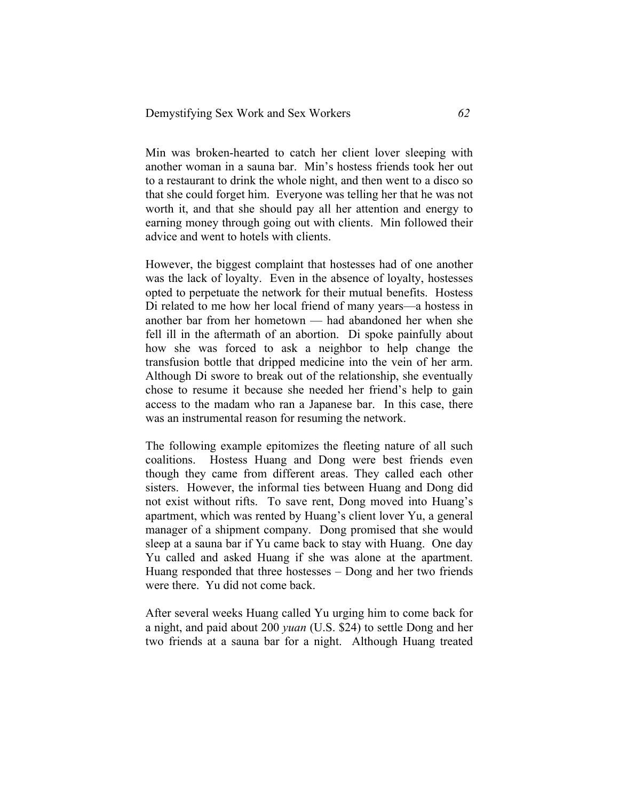Min was broken-hearted to catch her client lover sleeping with another woman in a sauna bar. Min's hostess friends took her out to a restaurant to drink the whole night, and then went to a disco so that she could forget him. Everyone was telling her that he was not worth it, and that she should pay all her attention and energy to earning money through going out with clients. Min followed their advice and went to hotels with clients.

However, the biggest complaint that hostesses had of one another was the lack of loyalty. Even in the absence of loyalty, hostesses opted to perpetuate the network for their mutual benefits. Hostess Di related to me how her local friend of many years—a hostess in another bar from her hometown — had abandoned her when she fell ill in the aftermath of an abortion. Di spoke painfully about how she was forced to ask a neighbor to help change the transfusion bottle that dripped medicine into the vein of her arm. Although Di swore to break out of the relationship, she eventually chose to resume it because she needed her friend's help to gain access to the madam who ran a Japanese bar. In this case, there was an instrumental reason for resuming the network.

The following example epitomizes the fleeting nature of all such coalitions. Hostess Huang and Dong were best friends even though they came from different areas. They called each other sisters. However, the informal ties between Huang and Dong did not exist without rifts. To save rent, Dong moved into Huang's apartment, which was rented by Huang's client lover Yu, a general manager of a shipment company. Dong promised that she would sleep at a sauna bar if Yu came back to stay with Huang. One day Yu called and asked Huang if she was alone at the apartment. Huang responded that three hostesses – Dong and her two friends were there. Yu did not come back.

After several weeks Huang called Yu urging him to come back for a night, and paid about 200 *yuan* (U.S. \$24) to settle Dong and her two friends at a sauna bar for a night. Although Huang treated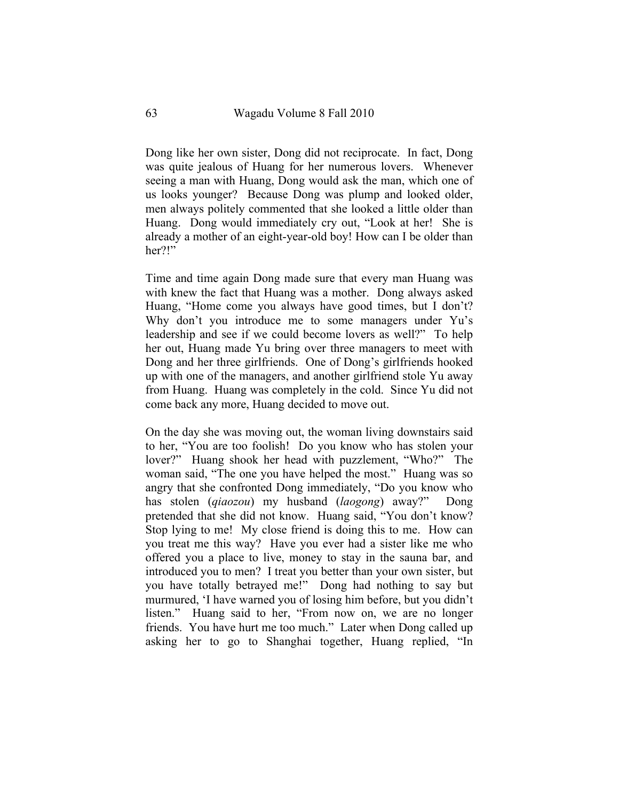Dong like her own sister, Dong did not reciprocate. In fact, Dong was quite jealous of Huang for her numerous lovers. Whenever seeing a man with Huang, Dong would ask the man, which one of us looks younger? Because Dong was plump and looked older, men always politely commented that she looked a little older than Huang. Dong would immediately cry out, "Look at her! She is already a mother of an eight-year-old boy! How can I be older than her?!"

Time and time again Dong made sure that every man Huang was with knew the fact that Huang was a mother. Dong always asked Huang, "Home come you always have good times, but I don't? Why don't you introduce me to some managers under Yu's leadership and see if we could become lovers as well?" To help her out, Huang made Yu bring over three managers to meet with Dong and her three girlfriends. One of Dong's girlfriends hooked up with one of the managers, and another girlfriend stole Yu away from Huang. Huang was completely in the cold. Since Yu did not come back any more, Huang decided to move out.

On the day she was moving out, the woman living downstairs said to her, "You are too foolish! Do you know who has stolen your lover?" Huang shook her head with puzzlement, "Who?" The woman said, "The one you have helped the most." Huang was so angry that she confronted Dong immediately, "Do you know who has stolen (*qiaozou*) my husband (*laogong*) away?" Dong pretended that she did not know. Huang said, "You don't know? Stop lying to me! My close friend is doing this to me. How can you treat me this way? Have you ever had a sister like me who offered you a place to live, money to stay in the sauna bar, and introduced you to men? I treat you better than your own sister, but you have totally betrayed me!" Dong had nothing to say but murmured, 'I have warned you of losing him before, but you didn't listen." Huang said to her, "From now on, we are no longer friends. You have hurt me too much." Later when Dong called up asking her to go to Shanghai together, Huang replied, "In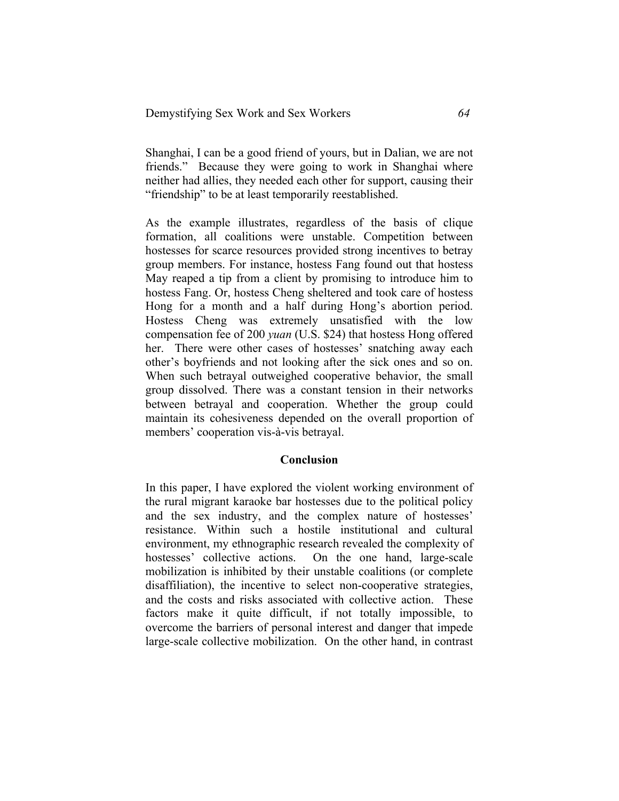Shanghai, I can be a good friend of yours, but in Dalian, we are not friends." Because they were going to work in Shanghai where neither had allies, they needed each other for support, causing their "friendship" to be at least temporarily reestablished.

As the example illustrates, regardless of the basis of clique formation, all coalitions were unstable. Competition between hostesses for scarce resources provided strong incentives to betray group members. For instance, hostess Fang found out that hostess May reaped a tip from a client by promising to introduce him to hostess Fang. Or, hostess Cheng sheltered and took care of hostess Hong for a month and a half during Hong's abortion period. Hostess Cheng was extremely unsatisfied with the low compensation fee of 200 *yuan* (U.S. \$24) that hostess Hong offered her. There were other cases of hostesses' snatching away each other's boyfriends and not looking after the sick ones and so on. When such betrayal outweighed cooperative behavior, the small group dissolved. There was a constant tension in their networks between betrayal and cooperation. Whether the group could maintain its cohesiveness depended on the overall proportion of members' cooperation vis-à-vis betrayal.

#### **Conclusion**

In this paper, I have explored the violent working environment of the rural migrant karaoke bar hostesses due to the political policy and the sex industry, and the complex nature of hostesses' resistance. Within such a hostile institutional and cultural environment, my ethnographic research revealed the complexity of hostesses' collective actions. On the one hand, large-scale mobilization is inhibited by their unstable coalitions (or complete disaffiliation), the incentive to select non-cooperative strategies, and the costs and risks associated with collective action. These factors make it quite difficult, if not totally impossible, to overcome the barriers of personal interest and danger that impede large-scale collective mobilization. On the other hand, in contrast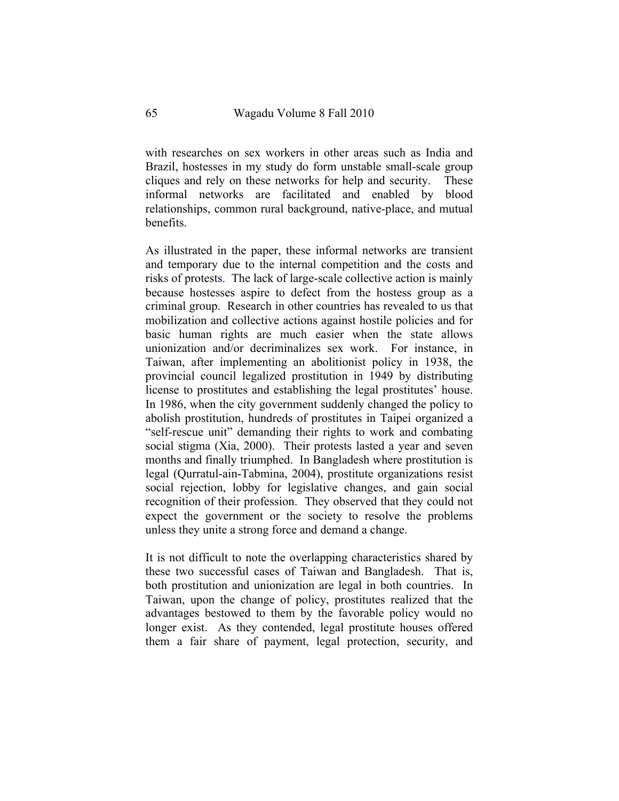with researches on sex workers in other areas such as India and Brazil, hostesses in my study do form unstable small-scale group cliques and rely on these networks for help and security. These informal networks are facilitated and enabled by blood relationships, common rural background, native-place, and mutual benefits.

As illustrated in the paper, these informal networks are transient and temporary due to the internal competition and the costs and risks of protests. The lack of large-scale collective action is mainly because hostesses aspire to defect from the hostess group as a criminal group. Research in other countries has revealed to us that mobilization and collective actions against hostile policies and for basic human rights are much easier when the state allows unionization and/or decriminalizes sex work. For instance, in Taiwan, after implementing an abolitionist policy in 1938, the provincial council legalized prostitution in 1949 by distributing license to prostitutes and establishing the legal prostitutes' house. In 1986, when the city government suddenly changed the policy to abolish prostitution, hundreds of prostitutes in Taipei organized a "self-rescue unit" demanding their rights to work and combating social stigma (Xia, 2000). Their protests lasted a year and seven months and finally triumphed. In Bangladesh where prostitution is legal (Qurratul-ain-Tabmina, 2004), prostitute organizations resist social rejection, lobby for legislative changes, and gain social recognition of their profession. They observed that they could not expect the government or the society to resolve the problems unless they unite a strong force and demand a change.

It is not difficult to note the overlapping characteristics shared by these two successful cases of Taiwan and Bangladesh. That is, both prostitution and unionization are legal in both countries. In Taiwan, upon the change of policy, prostitutes realized that the advantages bestowed to them by the favorable policy would no longer exist. As they contended, legal prostitute houses offered them a fair share of payment, legal protection, security, and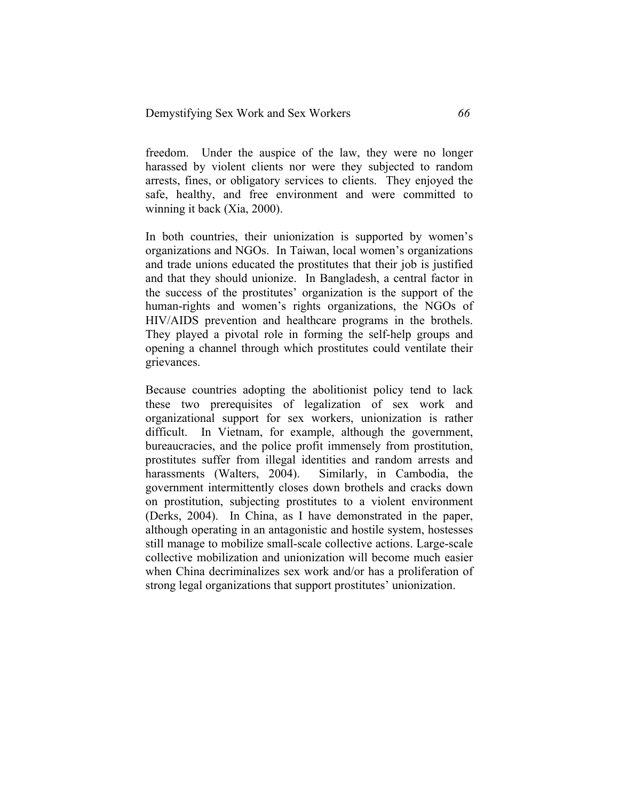freedom. Under the auspice of the law, they were no longer harassed by violent clients nor were they subjected to random arrests, fines, or obligatory services to clients. They enjoyed the safe, healthy, and free environment and were committed to winning it back (Xia, 2000).

In both countries, their unionization is supported by women's organizations and NGOs. In Taiwan, local women's organizations and trade unions educated the prostitutes that their job is justified and that they should unionize. In Bangladesh, a central factor in the success of the prostitutes' organization is the support of the human-rights and women's rights organizations, the NGOs of HIV/AIDS prevention and healthcare programs in the brothels. They played a pivotal role in forming the self-help groups and opening a channel through which prostitutes could ventilate their grievances.

Because countries adopting the abolitionist policy tend to lack these two prerequisites of legalization of sex work and organizational support for sex workers, unionization is rather difficult. In Vietnam, for example, although the government, bureaucracies, and the police profit immensely from prostitution, prostitutes suffer from illegal identities and random arrests and harassments (Walters, 2004). Similarly, in Cambodia, the government intermittently closes down brothels and cracks down on prostitution, subjecting prostitutes to a violent environment (Derks, 2004). In China, as I have demonstrated in the paper, although operating in an antagonistic and hostile system, hostesses still manage to mobilize small-scale collective actions. Large-scale collective mobilization and unionization will become much easier when China decriminalizes sex work and/or has a proliferation of strong legal organizations that support prostitutes' unionization.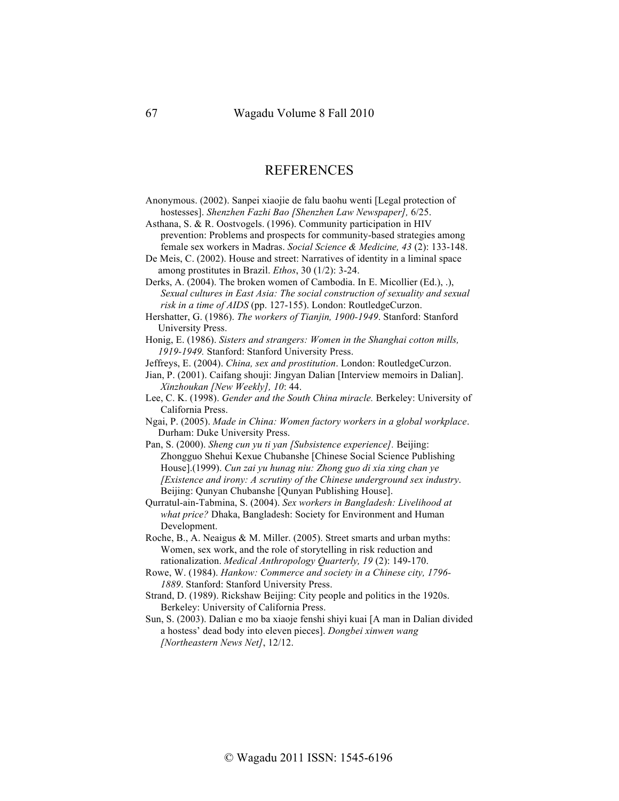## REFERENCES

- Anonymous. (2002). Sanpei xiaojie de falu baohu wenti [Legal protection of hostesses]. *Shenzhen Fazhi Bao [Shenzhen Law Newspaper],* 6/25.
- Asthana, S. & R. Oostvogels. (1996). Community participation in HIV prevention: Problems and prospects for community-based strategies among female sex workers in Madras. *Social Science & Medicine, 43* (2): 133-148.

De Meis, C. (2002). House and street: Narratives of identity in a liminal space among prostitutes in Brazil. *Ethos*, 30 (1/2): 3-24.

Derks, A. (2004). The broken women of Cambodia. In E. Micollier (Ed.), .), *Sexual cultures in East Asia: The social construction of sexuality and sexual risk in a time of AIDS* (pp. 127-155). London: RoutledgeCurzon.

Hershatter, G. (1986). *The workers of Tianjin, 1900-1949*. Stanford: Stanford University Press.

Honig, E. (1986). *Sisters and strangers: Women in the Shanghai cotton mills, 1919-1949.* Stanford: Stanford University Press.

Jeffreys, E. (2004). *China, sex and prostitution*. London: RoutledgeCurzon.

Jian, P. (2001). Caifang shouji: Jingyan Dalian [Interview memoirs in Dalian]. *Xinzhoukan [New Weekly], 10*: 44.

Lee, C. K. (1998). *Gender and the South China miracle.* Berkeley: University of California Press.

Ngai, P. (2005). *Made in China: Women factory workers in a global workplace*. Durham: Duke University Press.

Pan, S. (2000). *Sheng cun yu ti yan [Subsistence experience].* Beijing: Zhongguo Shehui Kexue Chubanshe [Chinese Social Science Publishing House].(1999). *Cun zai yu hunag niu: Zhong guo di xia xing chan ye [Existence and irony: A scrutiny of the Chinese underground sex industry*. Beijing: Ounyan Chubanshe [Ounyan Publishing House].

Qurratul-ain-Tabmina, S. (2004). *Sex workers in Bangladesh: Livelihood at what price?* Dhaka, Bangladesh: Society for Environment and Human Development.

- Roche, B., A. Neaigus & M. Miller. (2005). Street smarts and urban myths: Women, sex work, and the role of storytelling in risk reduction and rationalization. *Medical Anthropology Quarterly, 19* (2): 149-170.
- Rowe, W. (1984). *Hankow: Commerce and society in a Chinese city, 1796- 1889*. Stanford: Stanford University Press.
- Strand, D. (1989). Rickshaw Beijing: City people and politics in the 1920s. Berkeley: University of California Press.

Sun, S. (2003). Dalian e mo ba xiaoje fenshi shiyi kuai [A man in Dalian divided a hostess' dead body into eleven pieces]. *Dongbei xinwen wang [Northeastern News Net]*, 12/12.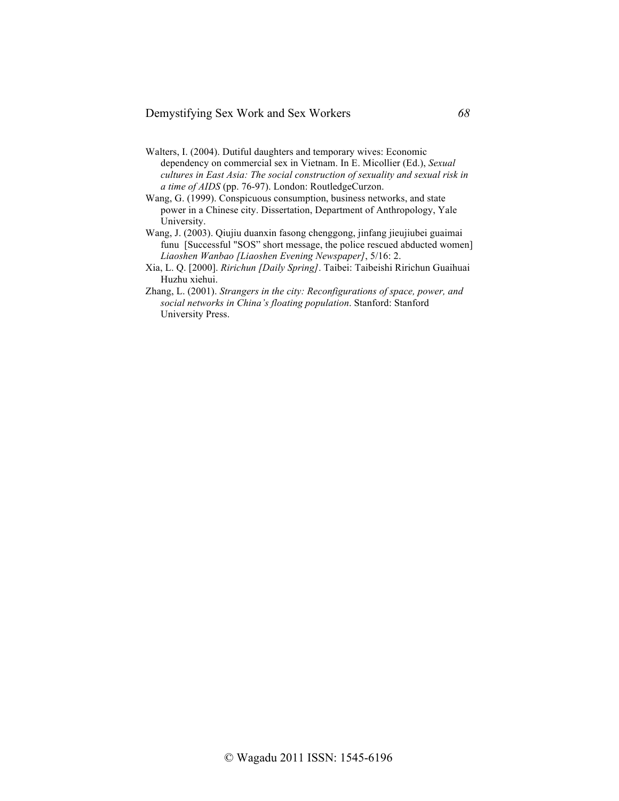Demystifying Sex Work and Sex Workers *68*

- Walters, I. (2004). Dutiful daughters and temporary wives: Economic dependency on commercial sex in Vietnam. In E. Micollier (Ed.), *Sexual cultures in East Asia: The social construction of sexuality and sexual risk in a time of AIDS* (pp. 76-97). London: RoutledgeCurzon.
- Wang, G. (1999). Conspicuous consumption, business networks, and state power in a Chinese city. Dissertation, Department of Anthropology, Yale University.
- Wang, J. (2003). Qiujiu duanxin fasong chenggong, jinfang jieujiubei guaimai funu [Successful "SOS" short message, the police rescued abducted women] *Liaoshen Wanbao [Liaoshen Evening Newspaper]*, 5/16: 2.
- Xia, L. Q. [2000]. *Ririchun [Daily Spring]*. Taibei: Taibeishi Ririchun Guaihuai Huzhu xiehui.
- Zhang, L. (2001). *Strangers in the city: Reconfigurations of space, power, and social networks in China's floating population*. Stanford: Stanford University Press.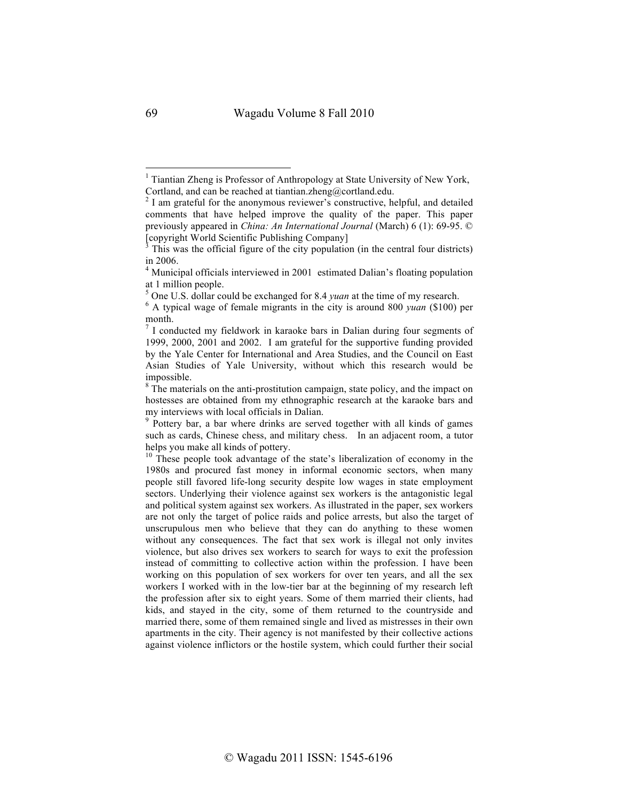<sup>&</sup>lt;sup>1</sup> Tiantian Zheng is Professor of Anthropology at State University of New York, Cortland, and can be reached at tiantian.zheng@cortland.edu.

<sup>&</sup>lt;sup>2</sup> I am grateful for the anonymous reviewer's constructive, helpful, and detailed comments that have helped improve the quality of the paper. This paper previously appeared in *China: An International Journal* (March) 6 (1): 69-95. © [copyright World Scientific Publishing Company]<br> $3$  This was the official figure of the city population (in the central four districts)

in 2006.

<sup>&</sup>lt;sup>4</sup> Municipal officials interviewed in 2001 estimated Dalian's floating population at 1 million people. <sup>5</sup> One U.S. dollar could be exchanged for 8.4 *yuan* at the time of my research. <sup>6</sup> A typical wage of female migrants in the city is around 800 *yuan* (\$100) per

month.<br><sup>7</sup> I conducted my fieldwork in karaoke bars in Dalian during four segments of

<sup>1999, 2000, 2001</sup> and 2002. I am grateful for the supportive funding provided by the Yale Center for International and Area Studies, and the Council on East Asian Studies of Yale University, without which this research would be impossible.

 $8$ <sup>8</sup> The materials on the anti-prostitution campaign, state policy, and the impact on hostesses are obtained from my ethnographic research at the karaoke bars and my interviews with local officials in Dalian.<br><sup>9</sup> Pottery bar, a bar where drinks are served together with all kinds of games

such as cards, Chinese chess, and military chess. In an adjacent room, a tutor helps you make all kinds of pottery.

 $10$  These people took advantage of the state's liberalization of economy in the 1980s and procured fast money in informal economic sectors, when many people still favored life-long security despite low wages in state employment sectors. Underlying their violence against sex workers is the antagonistic legal and political system against sex workers. As illustrated in the paper, sex workers are not only the target of police raids and police arrests, but also the target of unscrupulous men who believe that they can do anything to these women without any consequences. The fact that sex work is illegal not only invites violence, but also drives sex workers to search for ways to exit the profession instead of committing to collective action within the profession. I have been working on this population of sex workers for over ten years, and all the sex workers I worked with in the low-tier bar at the beginning of my research left the profession after six to eight years. Some of them married their clients, had kids, and stayed in the city, some of them returned to the countryside and married there, some of them remained single and lived as mistresses in their own apartments in the city. Their agency is not manifested by their collective actions against violence inflictors or the hostile system, which could further their social